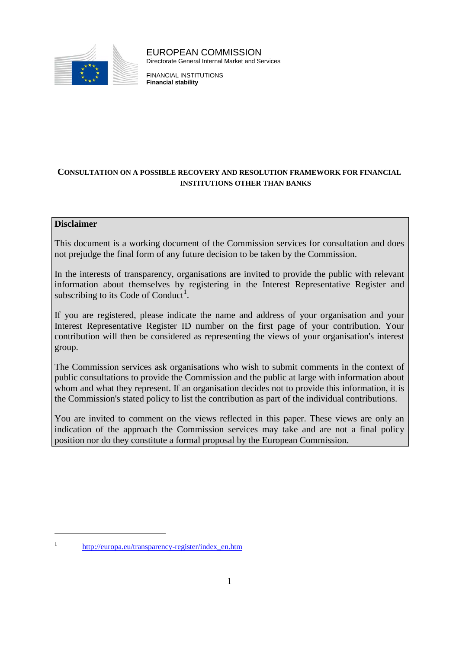

EUROPEAN COMMISSION Directorate General Internal Market and Services

FINANCIAL INSTITUTIONS **Financial stability**

# **CONSULTATION ON A POSSIBLE RECOVERY AND RESOLUTION FRAMEWORK FOR FINANCIAL INSTITUTIONS OTHER THAN BANKS**

# **Disclaimer**

 $\overline{a}$ 

This document is a working document of the Commission services for consultation and does not prejudge the final form of any future decision to be taken by the Commission.

In the interests of transparency, organisations are invited to provide the public with relevant information about themselves by registering in the Interest Representative Register and subscribing to its Code of Conduct<sup>[1](#page-0-0)</sup>.

If you are registered, please indicate the name and address of your organisation and your Interest Representative Register ID number on the first page of your contribution. Your contribution will then be considered as representing the views of your organisation's interest group.

<span id="page-0-1"></span>The Commission services ask organisations who wish to submit comments in the context of public consultations to provide the Commission and the public at large with information about whom and what they represent. If an organisation decides not to provide this information, it is the Commission's stated policy to list the contribution as part of the individual contributions.

You are invited to comment on the views reflected in this paper. These views are only an indication of the approach the Commission services may take and are not a final policy position nor do they constitute a formal proposal by the European Commission.

<span id="page-0-0"></span><sup>&</sup>lt;sup>1</sup> http://europa.eu/transparency-register/index en.htm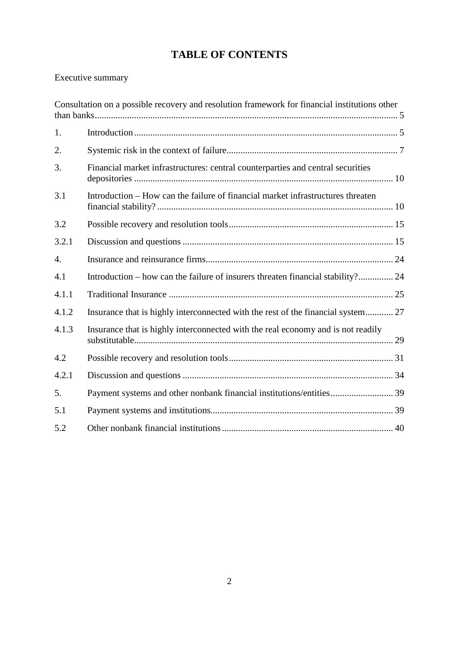# **TABLE OF CONTENTS**

# Executive summary

| Consultation on a possible recovery and resolution framework for financial institutions other |                                                                                  |  |
|-----------------------------------------------------------------------------------------------|----------------------------------------------------------------------------------|--|
| 1.                                                                                            |                                                                                  |  |
| 2.                                                                                            |                                                                                  |  |
| 3.                                                                                            | Financial market infrastructures: central counterparties and central securities  |  |
| 3.1                                                                                           | Introduction - How can the failure of financial market infrastructures threaten  |  |
| 3.2                                                                                           |                                                                                  |  |
| 3.2.1                                                                                         |                                                                                  |  |
| $\overline{4}$ .                                                                              |                                                                                  |  |
| 4.1                                                                                           | Introduction – how can the failure of insurers threaten financial stability? 24  |  |
| 4.1.1                                                                                         |                                                                                  |  |
| 4.1.2                                                                                         | Insurance that is highly interconnected with the rest of the financial system 27 |  |
| 4.1.3                                                                                         | Insurance that is highly interconnected with the real economy and is not readily |  |
| 4.2                                                                                           |                                                                                  |  |
| 4.2.1                                                                                         |                                                                                  |  |
| 5.                                                                                            |                                                                                  |  |
| 5.1                                                                                           |                                                                                  |  |
| 5.2                                                                                           |                                                                                  |  |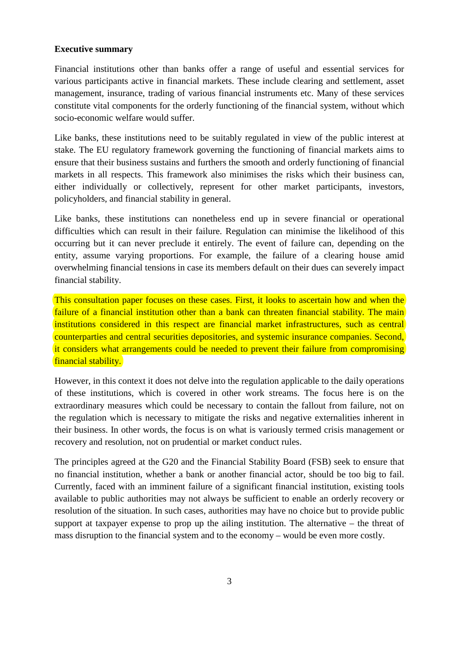#### **Executive summary**

Financial institutions other than banks offer a range of useful and essential services for various participants active in financial markets. These include clearing and settlement, asset management, insurance, trading of various financial instruments etc. Many of these services constitute vital components for the orderly functioning of the financial system, without which socio-economic welfare would suffer.

Like banks, these institutions need to be suitably regulated in view of the public interest at stake. The EU regulatory framework governing the functioning of financial markets aims to ensure that their business sustains and furthers the smooth and orderly functioning of financial markets in all respects. This framework also minimises the risks which their business can, either individually or collectively, represent for other market participants, investors, policyholders, and financial stability in general.

Like banks, these institutions can nonetheless end up in severe financial or operational difficulties which can result in their failure. Regulation can minimise the likelihood of this occurring but it can never preclude it entirely. The event of failure can, depending on the entity, assume varying proportions. For example, the failure of a clearing house amid overwhelming financial tensions in case its members default on their dues can severely impact financial stability.

This consultation paper focuses on these cases. First, it looks to ascertain how and when the failure of a financial institution other than a bank can threaten financial stability. The main institutions considered in this respect are financial market infrastructures, such as central counterparties and central securities depositories, and systemic insurance companies. Second, it considers what arrangements could be needed to prevent their failure from compromising financial stability.

However, in this context it does not delve into the regulation applicable to the daily operations of these institutions, which is covered in other work streams. The focus here is on the extraordinary measures which could be necessary to contain the fallout from failure, not on the regulation which is necessary to mitigate the risks and negative externalities inherent in their business. In other words, the focus is on what is variously termed crisis management or recovery and resolution, not on prudential or market conduct rules.

The principles agreed at the G20 and the Financial Stability Board (FSB) seek to ensure that no financial institution, whether a bank or another financial actor, should be too big to fail. Currently, faced with an imminent failure of a significant financial institution, existing tools available to public authorities may not always be sufficient to enable an orderly recovery or resolution of the situation. In such cases, authorities may have no choice but to provide public support at taxpayer expense to prop up the ailing institution. The alternative – the threat of mass disruption to the financial system and to the economy – would be even more costly.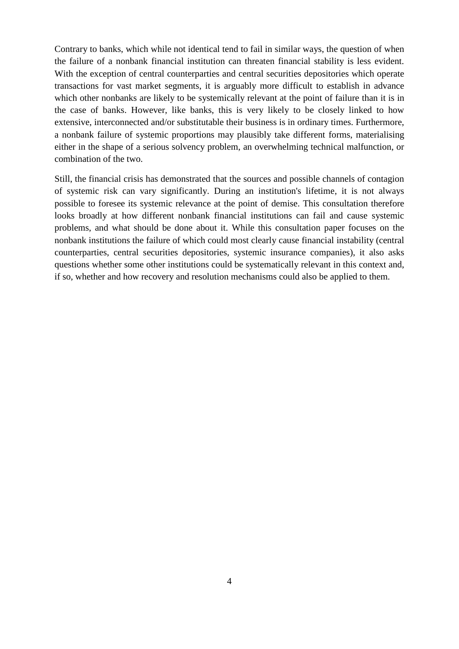Contrary to banks, which while not identical tend to fail in similar ways, the question of when the failure of a nonbank financial institution can threaten financial stability is less evident. With the exception of central counterparties and central securities depositories which operate transactions for vast market segments, it is arguably more difficult to establish in advance which other nonbanks are likely to be systemically relevant at the point of failure than it is in the case of banks. However, like banks, this is very likely to be closely linked to how extensive, interconnected and/or substitutable their business is in ordinary times. Furthermore, a nonbank failure of systemic proportions may plausibly take different forms, materialising either in the shape of a serious solvency problem, an overwhelming technical malfunction, or combination of the two.

Still, the financial crisis has demonstrated that the sources and possible channels of contagion of systemic risk can vary significantly. During an institution's lifetime, it is not always possible to foresee its systemic relevance at the point of demise. This consultation therefore looks broadly at how different nonbank financial institutions can fail and cause systemic problems, and what should be done about it. While this consultation paper focuses on the nonbank institutions the failure of which could most clearly cause financial instability (central counterparties, central securities depositories, systemic insurance companies), it also asks questions whether some other institutions could be systematically relevant in this context and, if so, whether and how recovery and resolution mechanisms could also be applied to them.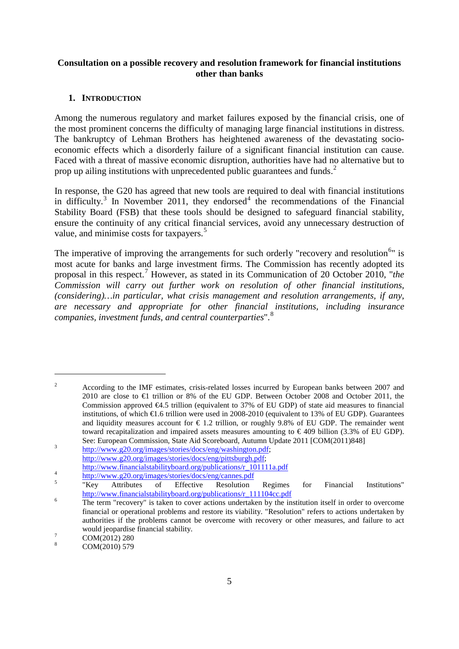# <span id="page-4-1"></span><span id="page-4-0"></span>**Consultation on a possible recovery and resolution framework for financial institutions other than banks**

# **1. INTRODUCTION**

Among the numerous regulatory and market failures exposed by the financial crisis, one of the most prominent concerns the difficulty of managing large financial institutions in distress. The bankruptcy of Lehman Brothers has heightened awareness of the devastating socioeconomic effects which a disorderly failure of a significant financial institution can cause. Faced with a threat of massive economic disruption, authorities have had no alternative but to prop up ailing institutions with unprecedented public guarantees and funds.<sup>[2](#page-0-1)</sup>

In response, the G20 has agreed that new tools are required to deal with financial institutions in difficulty.<sup>[3](#page-4-2)</sup> In November 2011, they endorsed<sup>[4](#page-4-3)</sup> the recommendations of the Financial Stability Board (FSB) that these tools should be designed to safeguard financial stability, ensure the continuity of any critical financial services, avoid any unnecessary destruction of value, and minimise costs for taxpayers.<sup>[5](#page-4-4)</sup>

The imperative of improving the arrangements for such orderly "recovery and resolution<sup>[6](#page-4-5)</sup>" is most acute for banks and large investment firms. The Commission has recently adopted its proposal in this respect.[7](#page-4-6) However, as stated in its Communication of 20 October 2010, "*the Commission will carry out further work on resolution of other financial institutions, (considering)…in particular, what crisis management and resolution arrangements, if any, are necessary and appropriate for other financial institutions, including insurance companies, investment funds, and central counterparties*". [8](#page-4-7)

<sup>&</sup>lt;sup>2</sup> According to the IMF estimates, crisis-related losses incurred by European banks between 2007 and 2010 are close to  $\bigoplus$  trillion or 8% of the EU GDP. Between October 2008 and October 2011, the Commission approved €4.5 trillion (equivalent to 37% of EU GDP) of state aid measures to financial institutions, of which  $\epsilon$ 1.6 trillion were used in 2008-2010 (equivalent to 13% of EU GDP). Guarantees and liquidity measures account for  $\epsilon$  1.2 trillion, or roughly 9.8% of EU GDP. The remainder went toward recapitalization and impaired assets measures amounting to  $\epsilon$ 409 billion (3.3% of EU GDP). See: European Commission, State Aid Scoreboard, Autumn Update 2011 [COM(2011)848]<br> [http://www.g20.org/images/stories/docs/eng/washington.pdf;](http://www.g20.org/images/stories/docs/eng/washington.pdf)

<span id="page-4-8"></span><span id="page-4-2"></span>[http://www.g20.org/images/stories/docs/eng/pittsburgh.pdf;](http://www.g20.org/images/stories/docs/eng/pittsburgh.pdf)

<span id="page-4-3"></span>http://www.financialstabilityboard.org/publications/r 101111a.pdf<br>
<sup>4</sup> <http://www.g20.org/images/stories/docs/eng/cannes.pdf><br>
<sup>5</sup> "Key Attributes of Effective Resolution Regimes for Financial Institutions"<br>
http://www.fina

<span id="page-4-4"></span>

<span id="page-4-5"></span> $\frac{1}{\pi}$  The term "recovery" is taken to cover actions undertaken by the institution itself in order to overcome financial or operational problems and restore its viability. "Resolution" refers to actions undertaken by authorities if the problems cannot be overcome with recovery or other measures, and failure to act would jeopardise financial stability.<br>  $\frac{7}{8}$  COM(2012) 280<br>
COM(2010) 579

<span id="page-4-6"></span>

<span id="page-4-7"></span>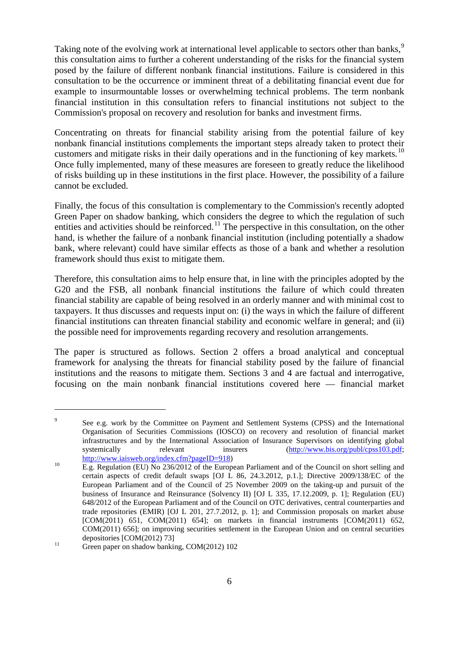Taking note of the evolving work at international level applicable to sectors other than banks,<sup>[9](#page-4-8)</sup> this consultation aims to further a coherent understanding of the risks for the financial system posed by the failure of different nonbank financial institutions. Failure is considered in this consultation to be the occurrence or imminent threat of a debilitating financial event due for example to insurmountable losses or overwhelming technical problems. The term nonbank financial institution in this consultation refers to financial institutions not subject to the Commission's proposal on recovery and resolution for banks and investment firms.

Concentrating on threats for financial stability arising from the potential failure of key nonbank financial institutions complements the important steps already taken to protect their customers and mitigate risks in their daily operations and in the functioning of key markets*.* [10](#page-5-0) Once fully implemented, many of these measures are foreseen to greatly reduce the likelihood of risks building up in these institutions in the first place. However, the possibility of a failure cannot be excluded.

Finally, the focus of this consultation is complementary to the Commission's recently adopted Green Paper on shadow banking, which considers the degree to which the regulation of such entities and activities should be reinforced.<sup>[11](#page-5-1)</sup> The perspective in this consultation, on the other hand, is whether the failure of a nonbank financial institution (including potentially a shadow bank, where relevant) could have similar effects as those of a bank and whether a resolution framework should thus exist to mitigate them.

Therefore, this consultation aims to help ensure that, in line with the principles adopted by the G20 and the FSB, all nonbank financial institutions the failure of which could threaten financial stability are capable of being resolved in an orderly manner and with minimal cost to taxpayers. It thus discusses and requests input on: (i) the ways in which the failure of different financial institutions can threaten financial stability and economic welfare in general; and (ii) the possible need for improvements regarding recovery and resolution arrangements.

The paper is structured as follows. Section 2 offers a broad analytical and conceptual framework for analysing the threats for financial stability posed by the failure of financial institutions and the reasons to mitigate them. Sections 3 and 4 are factual and interrogative, focusing on the main nonbank financial institutions covered here –– financial market

<sup>&</sup>lt;sup>9</sup> See e.g. work by the Committee on Payment and Settlement Systems (CPSS) and the International Organisation of Securities Commissions (IOSCO) on recovery and resolution of financial market infrastructures and by the International Association of Insurance Supervisors on identifying global systemically relevant insurers [\(http://www.bis.org/publ/cpss103.pdf;](http://www.bis.org/publ/cpss103.pdf)<br>http://www.iaisweb.org/index.cfm?pageID=918)

<span id="page-5-0"></span> $\overline{E.g.}$  Regulation (EU) No 236/2012 of the European Parliament and of the Council on short selling and certain aspects of credit default swaps [OJ L 86, 24.3.2012, p.1.]; Directive 2009/138/EC of the European Parliament and of the Council of 25 November 2009 on the taking-up and pursuit of the business of Insurance and Reinsurance (Solvency II) [OJ L 335, 17.12.2009, p. 1]; Regulation (EU) 648/2012 of the European Parliament and of the Council on OTC derivatives, central counterparties and trade repositories (EMIR) [OJ L 201, 27.7.2012, p. 1]; and Commission proposals on market abuse  $[COM(2011) 651, COM(2011) 654]$ ; on markets in financial instruments  $[COM(2011) 652,$ COM(2011) 656]; on improving securities settlement in the European Union and on central securities

<span id="page-5-1"></span>depositories [COM(2012) 73]<br><sup>11</sup> Green paper on shadow banking, COM(2012) 102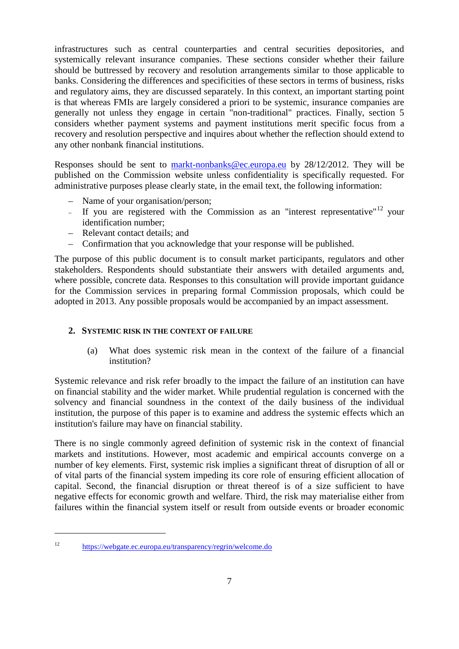infrastructures such as central counterparties and central securities depositories, and systemically relevant insurance companies. These sections consider whether their failure should be buttressed by recovery and resolution arrangements similar to those applicable to banks. Considering the differences and specificities of these sectors in terms of business, risks and regulatory aims, they are discussed separately. In this context, an important starting point is that whereas FMIs are largely considered a priori to be systemic, insurance companies are generally not unless they engage in certain "non-traditional" practices. Finally, section 5 considers whether payment systems and payment institutions merit specific focus from a recovery and resolution perspective and inquires about whether the reflection should extend to any other nonbank financial institutions.

Responses should be sent to [markt-nonbanks@ec.europa.eu](mailto:markt-nonbanks@ec.europa.eu) by 28/12/2012. They will be published on the Commission website unless confidentiality is specifically requested. For administrative purposes please clearly state, in the email text, the following information:

- Name of your organisation/person;
- If you are registered with the Commission as an "interest representative"<sup>[12](#page-5-1)</sup> your identification number;
- Relevant contact details; and
- Confirmation that you acknowledge that your response will be published.

The purpose of this public document is to consult market participants, regulators and other stakeholders. Respondents should substantiate their answers with detailed arguments and, where possible, concrete data. Responses to this consultation will provide important guidance for the Commission services in preparing formal Commission proposals, which could be adopted in 2013. Any possible proposals would be accompanied by an impact assessment.

## <span id="page-6-0"></span>**2. SYSTEMIC RISK IN THE CONTEXT OF FAILURE**

(a) What does systemic risk mean in the context of the failure of a financial institution?

<span id="page-6-1"></span>Systemic relevance and risk refer broadly to the impact the failure of an institution can have on financial stability and the wider market. While prudential regulation is concerned with the solvency and financial soundness in the context of the daily business of the individual institution, the purpose of this paper is to examine and address the systemic effects which an institution's failure may have on financial stability.

There is no single commonly agreed definition of systemic risk in the context of financial markets and institutions. However, most academic and empirical accounts converge on a number of key elements. First, systemic risk implies a significant threat of disruption of all or of vital parts of the financial system impeding its core role of ensuring efficient allocation of capital. Second, the financial disruption or threat thereof is of a size sufficient to have negative effects for economic growth and welfare. Third, the risk may materialise either from failures within the financial system itself or result from outside events or broader economic

<sup>12</sup> <https://webgate.ec.europa.eu/transparency/regrin/welcome.do>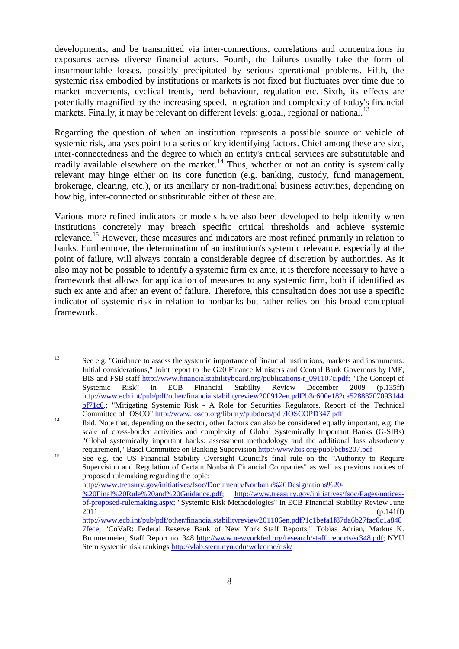developments, and be transmitted via inter-connections, correlations and concentrations in exposures across diverse financial actors. Fourth, the failures usually take the form of insurmountable losses, possibly precipitated by serious operational problems. Fifth, the systemic risk embodied by institutions or markets is not fixed but fluctuates over time due to market movements, cyclical trends, herd behaviour, regulation etc. Sixth, its effects are potentially magnified by the increasing speed, integration and complexity of today's financial markets. Finally, it may be relevant on different levels: global, regional or national.<sup>[13](#page-6-1)</sup>

Regarding the question of when an institution represents a possible source or vehicle of systemic risk, analyses point to a series of key identifying factors. Chief among these are size, inter-connectedness and the degree to which an entity's critical services are substitutable and readily available elsewhere on the market.<sup>[14](#page-7-0)</sup> Thus, whether or not an entity is systemically relevant may hinge either on its core function (e.g. banking, custody, fund management, brokerage, clearing, etc.), or its ancillary or non-traditional business activities, depending on how big, inter-connected or substitutable either of these are.

Various more refined indicators or models have also been developed to help identify when institutions concretely may breach specific critical thresholds and achieve systemic relevance.<sup>[15](#page-7-1)</sup> However, these measures and indicators are most refined primarily in relation to banks. Furthermore, the determination of an institution's systemic relevance, especially at the point of failure, will always contain a considerable degree of discretion by authorities. As it also may not be possible to identify a systemic firm ex ante, it is therefore necessary to have a framework that allows for application of measures to any systemic firm, both if identified as such ex ante and after an event of failure. Therefore, this consultation does not use a specific indicator of systemic risk in relation to nonbanks but rather relies on this broad conceptual framework.

 $\overline{a}$ 

[http://www.treasury.gov/initiatives/fsoc/Documents/Nonbank%20Designations%20-](http://www.treasury.gov/initiatives/fsoc/Documents/Nonbank%20Designations%20-%20Final%20Rule%20and%20Guidance.pdf)

<sup>&</sup>lt;sup>13</sup> See e.g. "Guidance to assess the systemic importance of financial institutions, markets and instruments: Initial considerations," Joint report to the G20 Finance Ministers and Central Bank Governors by IMF, BIS and FSB staff [http://www.financialstabilityboard.org/publications/r\\_091107c.pdf;](http://www.financialstabilityboard.org/publications/r_091107c.pdf) "The Concept of Systemic Risk" in ECB Financial Stability Review December 2009 (p.135ff) [http://www.ecb.int/pub/pdf/other/financialstabilityreview200912en.pdf?b3c600e182ca52883707093144](http://www.ecb.int/pub/pdf/other/financialstabilityreview200912en.pdf?b3c600e182ca52883707093144bf71c6) [bf71c6.](http://www.ecb.int/pub/pdf/other/financialstabilityreview200912en.pdf?b3c600e182ca52883707093144bf71c6); "Mitigating Systemic Risk - A Role for Securities Regulators, Report of the Technical

<span id="page-7-0"></span>Committee of IOSCO" <http://www.iosco.org/library/pubdocs/pdf/IOSCOPD347.pdf> Ibid. Note that, depending on the sector, other factors can also be considered equally important, e.g. the scale of cross-border activities and complexity of Global Systemically Important Banks (G-SIBs) "Global systemically important banks: assessment methodology and the additional loss absorbency requirement," Basel Committee on Banking Supervision<http://www.bis.org/publ/bcbs207.pdf><br>
<sup>15</sup> See e.g. the US Financial Stability Oversight Council's final rule on the "Authority to Require

<span id="page-7-2"></span><span id="page-7-1"></span>Supervision and Regulation of Certain Nonbank Financial Companies" as well as previous notices of proposed rulemaking regarding the topic:

[<sup>%20</sup>Final%20Rule%20and%20Guidance.pdf;](http://www.treasury.gov/initiatives/fsoc/Documents/Nonbank%20Designations%20-%20Final%20Rule%20and%20Guidance.pdf) [http://www.treasury.gov/initiatives/fsoc/Pages/notices](http://www.treasury.gov/initiatives/fsoc/Pages/notices-of-proposed-rulemaking.aspx)[of-proposed-rulemaking.aspx;](http://www.treasury.gov/initiatives/fsoc/Pages/notices-of-proposed-rulemaking.aspx) "Systemic Risk Methodologies" in ECB Financial Stability Review June 2011 (p.141ff)

[http://www.ecb.int/pub/pdf/other/financialstabilityreview201106en.pdf?1c1befa1f87da6b27fac0c1a848](http://www.ecb.int/pub/pdf/other/financialstabilityreview201106en.pdf?1c1befa1f87da6b27fac0c1a8487fece) [7fece;](http://www.ecb.int/pub/pdf/other/financialstabilityreview201106en.pdf?1c1befa1f87da6b27fac0c1a8487fece) "CoVaR: Federal Reserve Bank of New York Staff Reports," Tobias Adrian, Markus K. Brunnermeier, Staff Report no. 348 [http://www.newyorkfed.org/research/staff\\_reports/sr348.pdf;](http://www.newyorkfed.org/research/staff_reports/sr348.pdf) NYU Stern systemic risk rankings<http://vlab.stern.nyu.edu/welcome/risk/>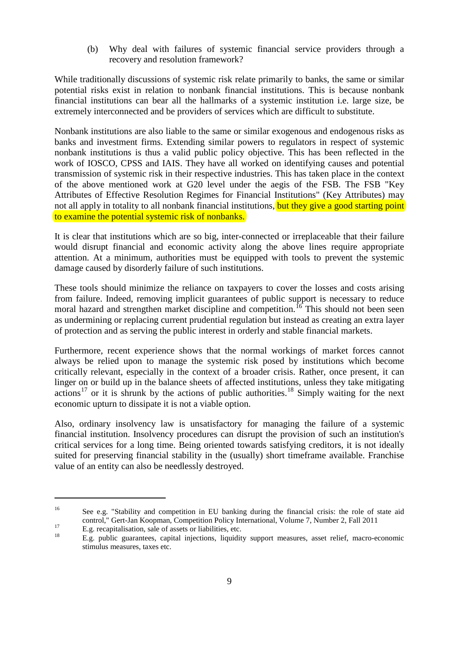(b) Why deal with failures of systemic financial service providers through a recovery and resolution framework?

While traditionally discussions of systemic risk relate primarily to banks, the same or similar potential risks exist in relation to nonbank financial institutions. This is because nonbank financial institutions can bear all the hallmarks of a systemic institution i.e. large size, be extremely interconnected and be providers of services which are difficult to substitute.

Nonbank institutions are also liable to the same or similar exogenous and endogenous risks as banks and investment firms. Extending similar powers to regulators in respect of systemic nonbank institutions is thus a valid public policy objective. This has been reflected in the work of IOSCO, CPSS and IAIS. They have all worked on identifying causes and potential transmission of systemic risk in their respective industries. This has taken place in the context of the above mentioned work at G20 level under the aegis of the FSB. The FSB "Key Attributes of Effective Resolution Regimes for Financial Institutions" (Key Attributes) may not all apply in totality to all nonbank financial institutions, but they give a good starting point to examine the potential systemic risk of nonbanks.

It is clear that institutions which are so big, inter-connected or irreplaceable that their failure would disrupt financial and economic activity along the above lines require appropriate attention. At a minimum, authorities must be equipped with tools to prevent the systemic damage caused by disorderly failure of such institutions.

These tools should minimize the reliance on taxpayers to cover the losses and costs arising from failure. Indeed, removing implicit guarantees of public support is necessary to reduce moral hazard and strengthen market discipline and competition.<sup>[16](#page-7-2)</sup> This should not been seen as undermining or replacing current prudential regulation but instead as creating an extra layer of protection and as serving the public interest in orderly and stable financial markets.

Furthermore, recent experience shows that the normal workings of market forces cannot always be relied upon to manage the systemic risk posed by institutions which become critically relevant, especially in the context of a broader crisis. Rather, once present, it can linger on or build up in the balance sheets of affected institutions, unless they take mitigating actions<sup>[17](#page-8-0)</sup> or it is shrunk by the actions of public authorities.<sup>[18](#page-8-1)</sup> Simply waiting for the next economic upturn to dissipate it is not a viable option.

<span id="page-8-2"></span>Also, ordinary insolvency law is unsatisfactory for managing the failure of a systemic financial institution. Insolvency procedures can disrupt the provision of such an institution's critical services for a long time. Being oriented towards satisfying creditors, it is not ideally suited for preserving financial stability in the (usually) short timeframe available. Franchise value of an entity can also be needlessly destroyed.

<sup>&</sup>lt;sup>16</sup> See e.g. "Stability and competition in EU banking during the financial crisis: the role of state aid control," Gert-Jan Koopman, Competition Policy International, Volume 7, Number 2, Fall 2011

<span id="page-8-1"></span><span id="page-8-0"></span>

E.g. recapitalisation, sale of assets or liabilities, etc.<br>
E.g. public guarantees, capital injections, liquidity support measures, asset relief, macro-economic stimulus measures, taxes etc.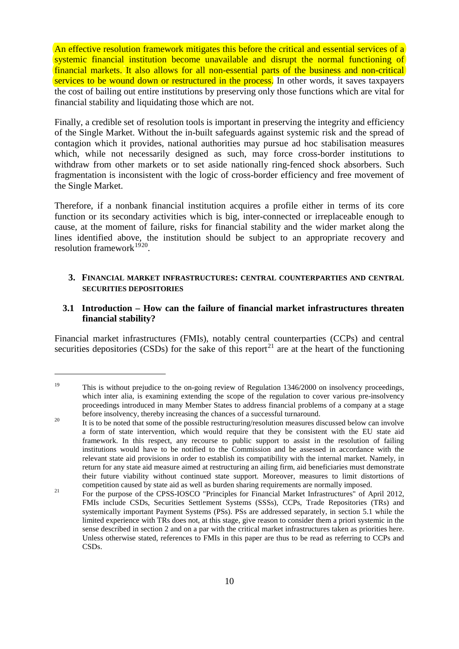An effective resolution framework mitigates this before the critical and essential services of a systemic financial institution become unavailable and disrupt the normal functioning of financial markets. It also allows for all non-essential parts of the business and non-critical services to be wound down or restructured in the process. In other words, it saves taxpayers the cost of bailing out entire institutions by preserving only those functions which are vital for financial stability and liquidating those which are not.

Finally, a credible set of resolution tools is important in preserving the integrity and efficiency of the Single Market. Without the in-built safeguards against systemic risk and the spread of contagion which it provides, national authorities may pursue ad hoc stabilisation measures which, while not necessarily designed as such, may force cross-border institutions to withdraw from other markets or to set aside nationally ring-fenced shock absorbers. Such fragmentation is inconsistent with the logic of cross-border efficiency and free movement of the Single Market.

Therefore, if a nonbank financial institution acquires a profile either in terms of its core function or its secondary activities which is big, inter-connected or irreplaceable enough to cause, at the moment of failure, risks for financial stability and the wider market along the lines identified above, the institution should be subject to an appropriate recovery and resolution framework $1920$  $1920$ .

## <span id="page-9-0"></span>**3. FINANCIAL MARKET INFRASTRUCTURES: CENTRAL COUNTERPARTIES AND CENTRAL SECURITIES DEPOSITORIES**

# <span id="page-9-1"></span>**3.1 Introduction – How can the failure of financial market infrastructures threaten financial stability?**

Financial market infrastructures (FMIs), notably central counterparties (CCPs) and central securities depositories (CSDs) for the sake of this report<sup>[21](#page-9-3)</sup> are at the heart of the functioning

<sup>&</sup>lt;sup>19</sup> This is without prejudice to the on-going review of Regulation 1346/2000 on insolvency proceedings, which inter alia, is examining extending the scope of the regulation to cover various pre-insolvency proceedings introduced in many Member States to address financial problems of a company at a stage

<span id="page-9-2"></span>before insolvency, thereby increasing the chances of a successful turnaround.<br><sup>20</sup> It is to be noted that some of the possible restructuring/resolution measures discussed below can involve a form of state intervention, which would require that they be consistent with the EU state aid framework. In this respect, any recourse to public support to assist in the resolution of failing institutions would have to be notified to the Commission and be assessed in accordance with the relevant state aid provisions in order to establish its compatibility with the internal market. Namely, in return for any state aid measure aimed at restructuring an ailing firm, aid beneficiaries must demonstrate their future viability without continued state support. Moreover, measures to limit distortions of competition caused by state aid as well as burden sharing requirements are normally imposed.

<span id="page-9-4"></span><span id="page-9-3"></span><sup>&</sup>lt;sup>21</sup> For the purpose of the CPSS-IOSCO "Principles for Financial Market Infrastructures" of April 2012, FMIs include CSDs, Securities Settlement Systems (SSSs), CCPs, Trade Repositories (TRs) and systemically important Payment Systems (PSs). PSs are addressed separately, in section 5.1 while the limited experience with TRs does not, at this stage, give reason to consider them a priori systemic in the sense described in section 2 and on a par with the critical market infrastructures taken as priorities here. Unless otherwise stated, references to FMIs in this paper are thus to be read as referring to CCPs and CSDs.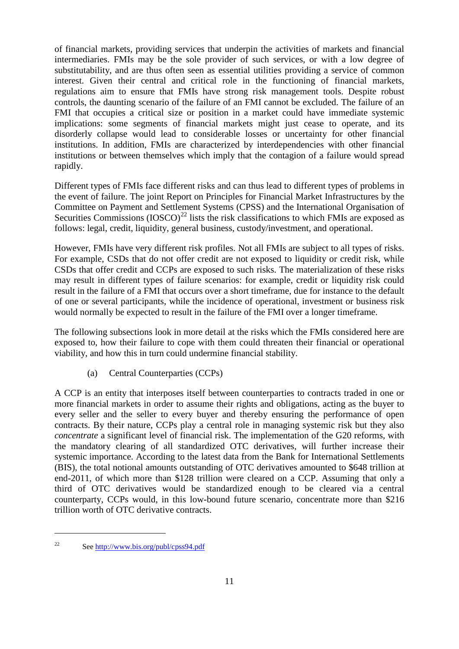of financial markets, providing services that underpin the activities of markets and financial intermediaries. FMIs may be the sole provider of such services, or with a low degree of substitutability, and are thus often seen as essential utilities providing a service of common interest. Given their central and critical role in the functioning of financial markets, regulations aim to ensure that FMIs have strong risk management tools. Despite robust controls, the daunting scenario of the failure of an FMI cannot be excluded. The failure of an FMI that occupies a critical size or position in a market could have immediate systemic implications: some segments of financial markets might just cease to operate, and its disorderly collapse would lead to considerable losses or uncertainty for other financial institutions. In addition, FMIs are characterized by interdependencies with other financial institutions or between themselves which imply that the contagion of a failure would spread rapidly.

Different types of FMIs face different risks and can thus lead to different types of problems in the event of failure. The joint Report on Principles for Financial Market Infrastructures by the Committee on Payment and Settlement Systems (CPSS) and the International Organisation of Securities Commissions  $(IOSCO)^{22}$  $(IOSCO)^{22}$  $(IOSCO)^{22}$  lists the risk classifications to which FMIs are exposed as follows: legal, credit, liquidity, general business, custody/investment, and operational.

However, FMIs have very different risk profiles. Not all FMIs are subject to all types of risks. For example, CSDs that do not offer credit are not exposed to liquidity or credit risk, while CSDs that offer credit and CCPs are exposed to such risks. The materialization of these risks may result in different types of failure scenarios: for example, credit or liquidity risk could result in the failure of a FMI that occurs over a short timeframe, due for instance to the default of one or several participants, while the incidence of operational, investment or business risk would normally be expected to result in the failure of the FMI over a longer timeframe.

The following subsections look in more detail at the risks which the FMIs considered here are exposed to, how their failure to cope with them could threaten their financial or operational viability, and how this in turn could undermine financial stability.

(a) Central Counterparties (CCPs)

A CCP is an entity that interposes itself between counterparties to contracts traded in one or more financial markets in order to assume their rights and obligations, acting as the buyer to every seller and the seller to every buyer and thereby ensuring the performance of open contracts. By their nature, CCPs play a central role in managing systemic risk but they also *concentrate* a significant level of financial risk. The implementation of the G20 reforms, with the mandatory clearing of all standardized OTC derivatives, will further increase their systemic importance. According to the latest data from the Bank for International Settlements (BIS), the total notional amounts outstanding of OTC derivatives amounted to \$648 trillion at end-2011, of which more than \$128 trillion were cleared on a CCP. Assuming that only a third of OTC derivatives would be standardized enough to be cleared via a central counterparty, CCPs would, in this low-bound future scenario, concentrate more than \$216 trillion worth of OTC derivative contracts.

<span id="page-10-0"></span><sup>22</sup> See<http://www.bis.org/publ/cpss94.pdf>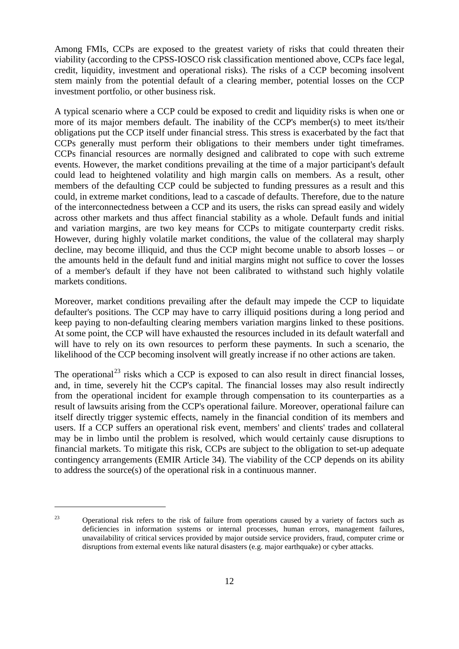Among FMIs, CCPs are exposed to the greatest variety of risks that could threaten their viability (according to the CPSS-IOSCO risk classification mentioned above, CCPs face legal, credit, liquidity, investment and operational risks). The risks of a CCP becoming insolvent stem mainly from the potential default of a clearing member, potential losses on the CCP investment portfolio, or other business risk.

A typical scenario where a CCP could be exposed to credit and liquidity risks is when one or more of its major members default. The inability of the CCP's member(s) to meet its/their obligations put the CCP itself under financial stress. This stress is exacerbated by the fact that CCPs generally must perform their obligations to their members under tight timeframes. CCPs financial resources are normally designed and calibrated to cope with such extreme events. However, the market conditions prevailing at the time of a major participant's default could lead to heightened volatility and high margin calls on members. As a result, other members of the defaulting CCP could be subjected to funding pressures as a result and this could, in extreme market conditions, lead to a cascade of defaults. Therefore, due to the nature of the interconnectedness between a CCP and its users, the risks can spread easily and widely across other markets and thus affect financial stability as a whole. Default funds and initial and variation margins, are two key means for CCPs to mitigate counterparty credit risks. However, during highly volatile market conditions, the value of the collateral may sharply decline, may become illiquid, and thus the CCP might become unable to absorb losses – or the amounts held in the default fund and initial margins might not suffice to cover the losses of a member's default if they have not been calibrated to withstand such highly volatile markets conditions.

Moreover, market conditions prevailing after the default may impede the CCP to liquidate defaulter's positions. The CCP may have to carry illiquid positions during a long period and keep paying to non-defaulting clearing members variation margins linked to these positions. At some point, the CCP will have exhausted the resources included in its default waterfall and will have to rely on its own resources to perform these payments. In such a scenario, the likelihood of the CCP becoming insolvent will greatly increase if no other actions are taken.

The operational<sup>[23](#page-10-0)</sup> risks which a CCP is exposed to can also result in direct financial losses, and, in time, severely hit the CCP's capital. The financial losses may also result indirectly from the operational incident for example through compensation to its counterparties as a result of lawsuits arising from the CCP's operational failure. Moreover, operational failure can itself directly trigger systemic effects, namely in the financial condition of its members and users. If a CCP suffers an operational risk event, members' and clients' trades and collateral may be in limbo until the problem is resolved, which would certainly cause disruptions to financial markets. To mitigate this risk, CCPs are subject to the obligation to set-up adequate contingency arrangements (EMIR Article 34). The viability of the CCP depends on its ability to address the source(s) of the operational risk in a continuous manner.

<span id="page-11-0"></span><sup>&</sup>lt;sup>23</sup> Operational risk refers to the risk of failure from operations caused by a variety of factors such as deficiencies in information systems or internal processes, human errors, management failures, unavailability of critical services provided by major outside service providers, fraud, computer crime or disruptions from external events like natural disasters (e.g. major earthquake) or cyber attacks.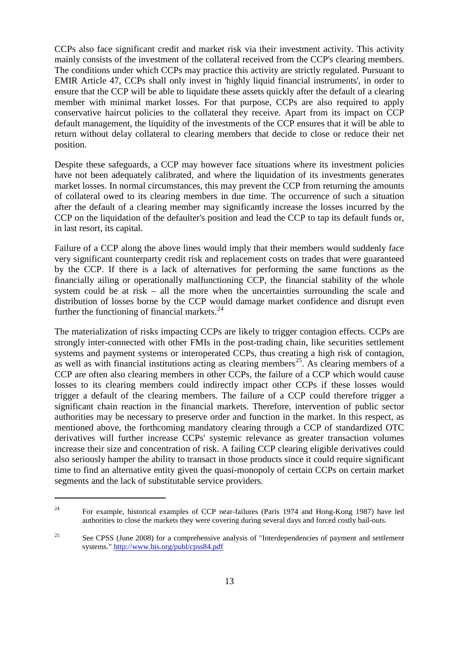CCPs also face significant credit and market risk via their investment activity. This activity mainly consists of the investment of the collateral received from the CCP's clearing members. The conditions under which CCPs may practice this activity are strictly regulated. Pursuant to EMIR Article 47, CCPs shall only invest in 'highly liquid financial instruments', in order to ensure that the CCP will be able to liquidate these assets quickly after the default of a clearing member with minimal market losses. For that purpose, CCPs are also required to apply conservative haircut policies to the collateral they receive. Apart from its impact on CCP default management, the liquidity of the investments of the CCP ensures that it will be able to return without delay collateral to clearing members that decide to close or reduce their net position.

Despite these safeguards, a CCP may however face situations where its investment policies have not been adequately calibrated, and where the liquidation of its investments generates market losses. In normal circumstances, this may prevent the CCP from returning the amounts of collateral owed to its clearing members in due time. The occurrence of such a situation after the default of a clearing member may significantly increase the losses incurred by the CCP on the liquidation of the defaulter's position and lead the CCP to tap its default funds or, in last resort, its capital.

Failure of a CCP along the above lines would imply that their members would suddenly face very significant counterparty credit risk and replacement costs on trades that were guaranteed by the CCP. If there is a lack of alternatives for performing the same functions as the financially ailing or operationally malfunctioning CCP, the financial stability of the whole system could be at risk – all the more when the uncertainties surrounding the scale and distribution of losses borne by the CCP would damage market confidence and disrupt even further the functioning of financial markets.<sup>[24](#page-11-0)</sup>

The materialization of risks impacting CCPs are likely to trigger contagion effects. CCPs are strongly inter-connected with other FMIs in the post-trading chain, like securities settlement systems and payment systems or interoperated CCPs, thus creating a high risk of contagion, as well as with financial institutions acting as clearing members<sup>25</sup>. As clearing members of a CCP are often also clearing members in other CCPs, the failure of a CCP which would cause losses to its clearing members could indirectly impact other CCPs if these losses would trigger a default of the clearing members. The failure of a CCP could therefore trigger a significant chain reaction in the financial markets. Therefore, intervention of public sector authorities may be necessary to preserve order and function in the market. In this respect, as mentioned above, the forthcoming mandatory clearing through a CCP of standardized OTC derivatives will further increase CCPs' systemic relevance as greater transaction volumes increase their size and concentration of risk. A failing CCP clearing eligible derivatives could also seriously hamper the ability to transact in those products since it could require significant time to find an alternative entity given the quasi-monopoly of certain CCPs on certain market segments and the lack of substitutable service providers.

<span id="page-12-1"></span><sup>&</sup>lt;sup>24</sup> For example, historical examples of CCP near-failures (Paris 1974 and Hong-Kong 1987) have led authorities to close the markets they were covering during several days and forced costly bail-outs.

<span id="page-12-0"></span><sup>&</sup>lt;sup>25</sup> See CPSS (June 2008) for a comprehensive analysis of "Interdependencies of payment and settlement systems."<http://www.bis.org/publ/cpss84.pdf>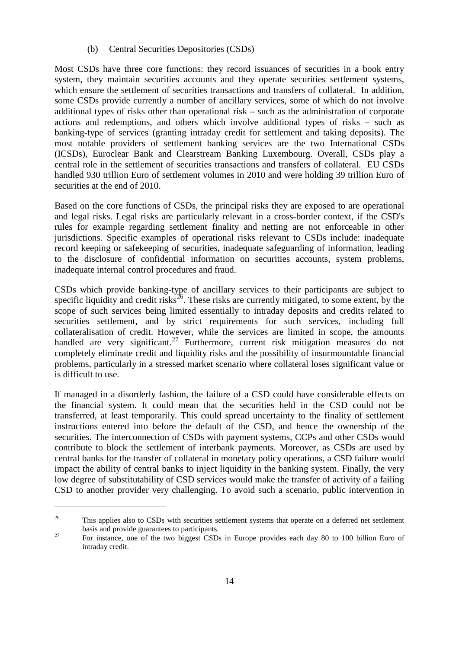#### (b) Central Securities Depositories (CSDs)

Most CSDs have three core functions: they record issuances of securities in a book entry system, they maintain securities accounts and they operate securities settlement systems, which ensure the settlement of securities transactions and transfers of collateral. In addition, some CSDs provide currently a number of ancillary services, some of which do not involve additional types of risks other than operational risk – such as the administration of corporate actions and redemptions, and others which involve additional types of risks – such as banking-type of services (granting intraday credit for settlement and taking deposits). The most notable providers of settlement banking services are the two International CSDs (ICSDs), Euroclear Bank and Clearstream Banking Luxembourg. Overall, CSDs play a central role in the settlement of securities transactions and transfers of collateral. EU CSDs handled 930 trillion Euro of settlement volumes in 2010 and were holding 39 trillion Euro of securities at the end of 2010.

Based on the core functions of CSDs, the principal risks they are exposed to are operational and legal risks. Legal risks are particularly relevant in a cross-border context, if the CSD's rules for example regarding settlement finality and netting are not enforceable in other jurisdictions. Specific examples of operational risks relevant to CSDs include: inadequate record keeping or safekeeping of securities, inadequate safeguarding of information, leading to the disclosure of confidential information on securities accounts, system problems, inadequate internal control procedures and fraud.

CSDs which provide banking-type of ancillary services to their participants are subject to specific liquidity and credit risks<sup>26</sup>. These risks are currently mitigated, to some extent, by the scope of such services being limited essentially to intraday deposits and credits related to securities settlement, and by strict requirements for such services, including full collateralisation of credit. However, while the services are limited in scope, the amounts handled are very significant.<sup>[27](#page-13-0)</sup> Furthermore, current risk mitigation measures do not completely eliminate credit and liquidity risks and the possibility of insurmountable financial problems, particularly in a stressed market scenario where collateral loses significant value or is difficult to use.

If managed in a disorderly fashion, the failure of a CSD could have considerable effects on the financial system. It could mean that the securities held in the CSD could not be transferred, at least temporarily. This could spread uncertainty to the finality of settlement instructions entered into before the default of the CSD, and hence the ownership of the securities. The interconnection of CSDs with payment systems, CCPs and other CSDs would contribute to block the settlement of interbank payments. Moreover, as CSDs are used by central banks for the transfer of collateral in monetary policy operations, a CSD failure would impact the ability of central banks to inject liquidity in the banking system. Finally, the very low degree of substitutability of CSD services would make the transfer of activity of a failing CSD to another provider very challenging. To avoid such a scenario, public intervention in

<span id="page-13-1"></span><sup>&</sup>lt;sup>26</sup> This applies also to CSDs with securities settlement systems that operate on a deferred net settlement basis and provide guarantees to participants.<br><sup>27</sup> For instance, one of the two biggest CSDs in Europe provides each day 80 to 100 billion Euro of

<span id="page-13-0"></span>intraday credit.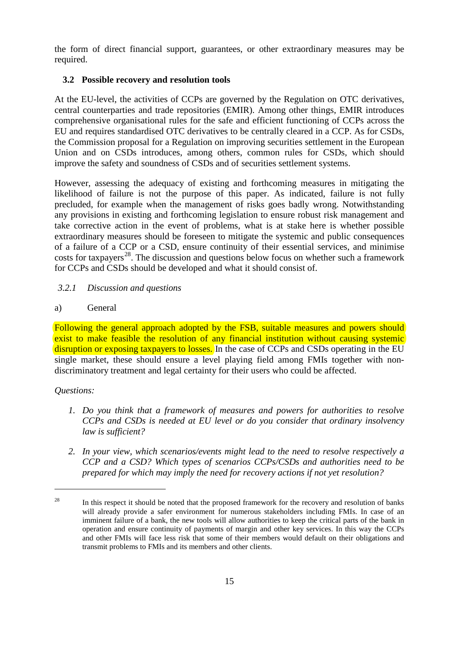the form of direct financial support, guarantees, or other extraordinary measures may be required.

# <span id="page-14-0"></span>**3.2 Possible recovery and resolution tools**

At the EU-level, the activities of CCPs are governed by the Regulation on OTC derivatives, central counterparties and trade repositories (EMIR). Among other things, EMIR introduces comprehensive organisational rules for the safe and efficient functioning of CCPs across the EU and requires standardised OTC derivatives to be centrally cleared in a CCP. As for CSDs, the Commission proposal for a Regulation on improving securities settlement in the European Union and on CSDs introduces, among others, common rules for CSDs, which should improve the safety and soundness of CSDs and of securities settlement systems.

However, assessing the adequacy of existing and forthcoming measures in mitigating the likelihood of failure is not the purpose of this paper. As indicated, failure is not fully precluded, for example when the management of risks goes badly wrong. Notwithstanding any provisions in existing and forthcoming legislation to ensure robust risk management and take corrective action in the event of problems, what is at stake here is whether possible extraordinary measures should be foreseen to mitigate the systemic and public consequences of a failure of a CCP or a CSD, ensure continuity of their essential services, and minimise costs for taxpayers<sup>28</sup>. The discussion and questions below focus on whether such a framework for CCPs and CSDs should be developed and what it should consist of.

# <span id="page-14-1"></span>*3.2.1 Discussion and questions*

a) General

Following the general approach adopted by the FSB, suitable measures and powers should exist to make feasible the resolution of any financial institution without causing systemic disruption or exposing taxpayers to losses. In the case of CCPs and CSDs operating in the EU single market, these should ensure a level playing field among FMIs together with nondiscriminatory treatment and legal certainty for their users who could be affected.

# *Questions:*

- *1. Do you think that a framework of measures and powers for authorities to resolve CCPs and CSDs is needed at EU level or do you consider that ordinary insolvency law is sufficient?*
- *2. In your view, which scenarios/events might lead to the need to resolve respectively a CCP and a CSD? Which types of scenarios CCPs/CSDs and authorities need to be prepared for which may imply the need for recovery actions if not yet resolution?*

<span id="page-14-2"></span><sup>&</sup>lt;sup>28</sup> In this respect it should be noted that the proposed framework for the recovery and resolution of banks will already provide a safer environment for numerous stakeholders including FMIs. In case of an imminent failure of a bank, the new tools will allow authorities to keep the critical parts of the bank in operation and ensure continuity of payments of margin and other key services. In this way the CCPs and other FMIs will face less risk that some of their members would default on their obligations and transmit problems to FMIs and its members and other clients.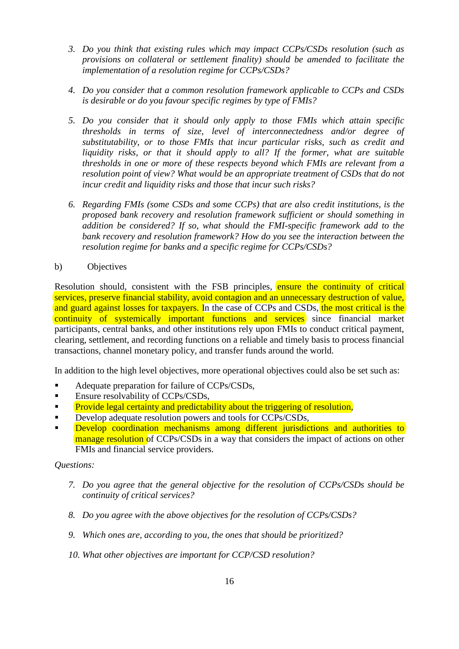- *3. Do you think that existing rules which may impact CCPs/CSDs resolution (such as provisions on collateral or settlement finality) should be amended to facilitate the implementation of a resolution regime for CCPs/CSDs?*
- *4. Do you consider that a common resolution framework applicable to CCPs and CSDs is desirable or do you favour specific regimes by type of FMIs?*
- *5. Do you consider that it should only apply to those FMIs which attain specific thresholds in terms of size, level of interconnectedness and/or degree of substitutability, or to those FMIs that incur particular risks, such as credit and liquidity risks, or that it should apply to all? If the former, what are suitable thresholds in one or more of these respects beyond which FMIs are relevant from a resolution point of view? What would be an appropriate treatment of CSDs that do not incur credit and liquidity risks and those that incur such risks?*
- *6. Regarding FMIs (some CSDs and some CCPs) that are also credit institutions, is the proposed bank recovery and resolution framework sufficient or should something in addition be considered? If so, what should the FMI-specific framework add to the bank recovery and resolution framework? How do you see the interaction between the resolution regime for banks and a specific regime for CCPs/CSDs?*
- b) Objectives

Resolution should, consistent with the FSB principles, ensure the continuity of critical services, preserve financial stability, avoid contagion and an unnecessary destruction of value, and guard against losses for taxpayers. In the case of CCPs and CSDs, the most critical is the continuity of systemically important functions and services since financial market participants, central banks, and other institutions rely upon FMIs to conduct critical payment, clearing, settlement, and recording functions on a reliable and timely basis to process financial transactions, channel monetary policy, and transfer funds around the world.

In addition to the high level objectives, more operational objectives could also be set such as:

- Adequate preparation for failure of CCPs/CSDs,
- Ensure resolvability of CCPs/CSDs,
- Provide legal certainty and predictability about the triggering of resolution,
- Develop adequate resolution powers and tools for CCPs/CSDs,
- **Develop coordination mechanisms among different jurisdictions and authorities to** manage resolution of CCPs/CSDs in a way that considers the impact of actions on other FMIs and financial service providers.

## *Questions:*

- *7. Do you agree that the general objective for the resolution of CCPs/CSDs should be continuity of critical services?*
- *8. Do you agree with the above objectives for the resolution of CCPs/CSDs?*
- *9. Which ones are, according to you, the ones that should be prioritized?*

## *10. What other objectives are important for CCP/CSD resolution?*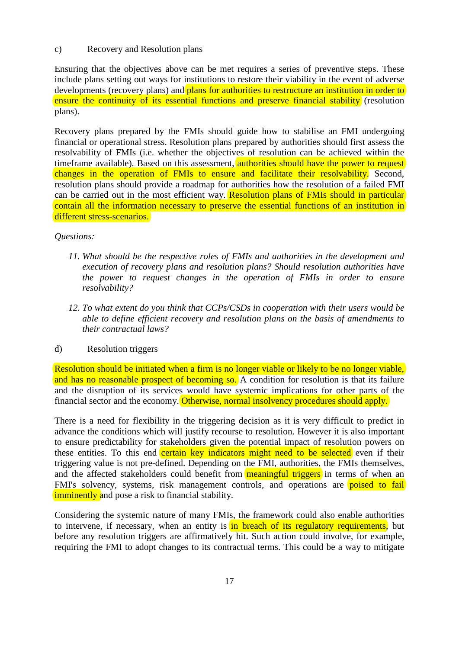## c) Recovery and Resolution plans

Ensuring that the objectives above can be met requires a series of preventive steps. These include plans setting out ways for institutions to restore their viability in the event of adverse developments (recovery plans) and plans for authorities to restructure an institution in order to ensure the continuity of its essential functions and preserve financial stability (resolution plans).

Recovery plans prepared by the FMIs should guide how to stabilise an FMI undergoing financial or operational stress. Resolution plans prepared by authorities should first assess the resolvability of FMIs (i.e. whether the objectives of resolution can be achieved within the timeframe available). Based on this assessment, authorities should have the power to request changes in the operation of FMIs to ensure and facilitate their resolvability. Second, resolution plans should provide a roadmap for authorities how the resolution of a failed FMI can be carried out in the most efficient way. Resolution plans of FMIs should in particular contain all the information necessary to preserve the essential functions of an institution in different stress-scenarios.

#### *Questions:*

- *11. What should be the respective roles of FMIs and authorities in the development and execution of recovery plans and resolution plans? Should resolution authorities have the power to request changes in the operation of FMIs in order to ensure resolvability?*
- *12. To what extent do you think that CCPs/CSDs in cooperation with their users would be able to define efficient recovery and resolution plans on the basis of amendments to their contractual laws?*

## d) Resolution triggers

Resolution should be initiated when a firm is no longer viable or likely to be no longer viable, and has no reasonable prospect of becoming so. A condition for resolution is that its failure and the disruption of its services would have systemic implications for other parts of the financial sector and the economy. Otherwise, normal insolvency procedures should apply.

There is a need for flexibility in the triggering decision as it is very difficult to predict in advance the conditions which will justify recourse to resolution. However it is also important to ensure predictability for stakeholders given the potential impact of resolution powers on these entities. To this end certain key indicators might need to be selected even if their triggering value is not pre-defined. Depending on the FMI, authorities, the FMIs themselves, and the affected stakeholders could benefit from **meaningful triggers** in terms of when an FMI's solvency, systems, risk management controls, and operations are **poised to fail** imminently and pose a risk to financial stability.

Considering the systemic nature of many FMIs, the framework could also enable authorities to intervene, if necessary, when an entity is in breach of its regulatory requirements, but before any resolution triggers are affirmatively hit. Such action could involve, for example, requiring the FMI to adopt changes to its contractual terms. This could be a way to mitigate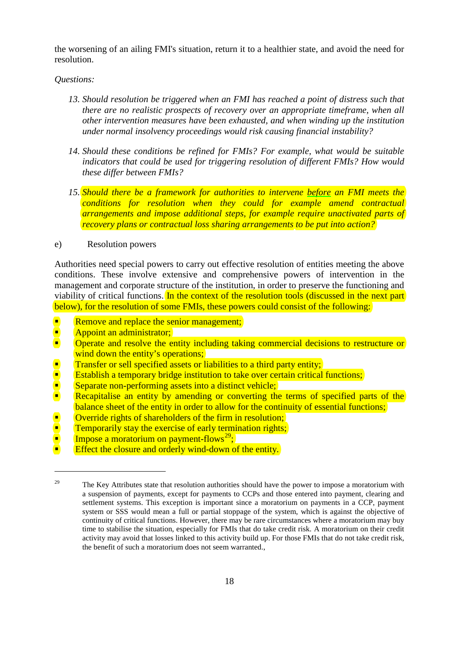the worsening of an ailing FMI's situation, return it to a healthier state, and avoid the need for resolution.

#### *Questions:*

- *13. Should resolution be triggered when an FMI has reached a point of distress such that there are no realistic prospects of recovery over an appropriate timeframe, when all other intervention measures have been exhausted, and when winding up the institution under normal insolvency proceedings would risk causing financial instability?*
- *14. Should these conditions be refined for FMIs? For example, what would be suitable indicators that could be used for triggering resolution of different FMIs? How would these differ between FMIs?*
- *15. Should there be a framework for authorities to intervene before an FMI meets the conditions for resolution when they could for example amend contractual arrangements and impose additional steps, for example require unactivated parts of recovery plans or contractual loss sharing arrangements to be put into action?*
- e) Resolution powers

Authorities need special powers to carry out effective resolution of entities meeting the above conditions. These involve extensive and comprehensive powers of intervention in the management and corporate structure of the institution, in order to preserve the functioning and viability of critical functions. In the context of the resolution tools (discussed in the next part below), for the resolution of some FMIs, these powers could consist of the following:

- Remove and replace the senior management;
- **Appoint an administrator;**<br>**Operate and resolve the end**

- Operate and resolve the entity including taking commercial decisions to restructure or wind down the entity's operations;
- 
- Establish a temporary bridge institution to take over certain critical functions;
- Separate non-performing assets into a distinct vehicle;
- Transfer or sell specified assets or liabilities to a third party entity;<br>Establish a temporary bridge institution to take over certain critical<br>Separate non-performing assets into a distinct vehicle;<br>Recapitalise an entit Recapitalise an entity by amending or converting the terms of specified parts of the balance sheet of the entity in order to allow for the continuity of essential functions;
- 
- Override rights of shareholders of the firm in resolution;<br>
Temporarily stay the exercise of early termination rights;<br>
Impose a moratorium on payment-flows<sup>29</sup>: Temporarily stay the exercise of early termination rights;
- Impose a moratorium on payment-flows<sup>29</sup>;
- Effect the closure and orderly wind-down of the entity.

<span id="page-17-0"></span><sup>&</sup>lt;sup>29</sup> The Key Attributes state that resolution authorities should have the power to impose a moratorium with a suspension of payments, except for payments to CCPs and those entered into payment, clearing and settlement systems. This exception is important since a moratorium on payments in a CCP, payment system or SSS would mean a full or partial stoppage of the system, which is against the objective of continuity of critical functions. However, there may be rare circumstances where a moratorium may buy time to stabilise the situation, especially for FMIs that do take credit risk. A moratorium on their credit activity may avoid that losses linked to this activity build up. For those FMIs that do not take credit risk, the benefit of such a moratorium does not seem warranted.,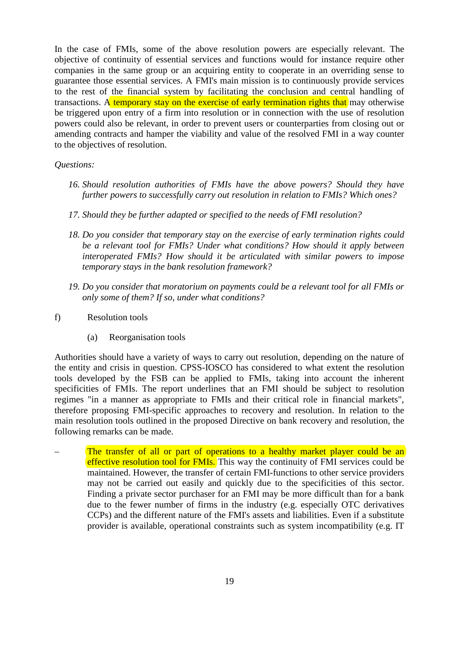In the case of FMIs, some of the above resolution powers are especially relevant. The objective of continuity of essential services and functions would for instance require other companies in the same group or an acquiring entity to cooperate in an overriding sense to guarantee those essential services. A FMI's main mission is to continuously provide services to the rest of the financial system by facilitating the conclusion and central handling of transactions. A temporary stay on the exercise of early termination rights that may otherwise be triggered upon entry of a firm into resolution or in connection with the use of resolution powers could also be relevant, in order to prevent users or counterparties from closing out or amending contracts and hamper the viability and value of the resolved FMI in a way counter to the objectives of resolution.

## *Questions:*

- *16. Should resolution authorities of FMIs have the above powers? Should they have further powers to successfully carry out resolution in relation to FMIs? Which ones?*
- *17. Should they be further adapted or specified to the needs of FMI resolution?*
- *18. Do you consider that temporary stay on the exercise of early termination rights could be a relevant tool for FMIs? Under what conditions? How should it apply between interoperated FMIs? How should it be articulated with similar powers to impose temporary stays in the bank resolution framework?*
- *19. Do you consider that moratorium on payments could be a relevant tool for all FMIs or only some of them? If so, under what conditions?*
- f) Resolution tools
	- (a) Reorganisation tools

Authorities should have a variety of ways to carry out resolution, depending on the nature of the entity and crisis in question. CPSS-IOSCO has considered to what extent the resolution tools developed by the FSB can be applied to FMIs, taking into account the inherent specificities of FMIs. The report underlines that an FMI should be subject to resolution regimes "in a manner as appropriate to FMIs and their critical role in financial markets", therefore proposing FMI-specific approaches to recovery and resolution. In relation to the main resolution tools outlined in the proposed Directive on bank recovery and resolution, the following remarks can be made.

The transfer of all or part of operations to a healthy market player could be an effective resolution tool for FMIs. This way the continuity of FMI services could be maintained. However, the transfer of certain FMI-functions to other service providers may not be carried out easily and quickly due to the specificities of this sector. Finding a private sector purchaser for an FMI may be more difficult than for a bank due to the fewer number of firms in the industry (e.g. especially OTC derivatives CCPs) and the different nature of the FMI's assets and liabilities. Even if a substitute provider is available, operational constraints such as system incompatibility (e.g. IT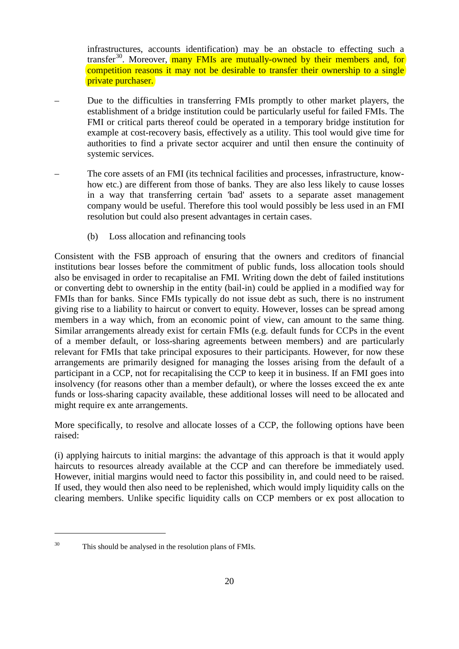infrastructures, accounts identification) may be an obstacle to effecting such a transfer<sup>30</sup>. Moreover, **many FMIs are mutually-owned by their members and, for** competition reasons it may not be desirable to transfer their ownership to a single private purchaser.

- Due to the difficulties in transferring FMIs promptly to other market players, the establishment of a bridge institution could be particularly useful for failed FMIs. The FMI or critical parts thereof could be operated in a temporary bridge institution for example at cost-recovery basis, effectively as a utility. This tool would give time for authorities to find a private sector acquirer and until then ensure the continuity of systemic services.
- The core assets of an FMI (its technical facilities and processes, infrastructure, knowhow etc.) are different from those of banks. They are also less likely to cause losses in a way that transferring certain 'bad' assets to a separate asset management company would be useful. Therefore this tool would possibly be less used in an FMI resolution but could also present advantages in certain cases.
	- (b) Loss allocation and refinancing tools

Consistent with the FSB approach of ensuring that the owners and creditors of financial institutions bear losses before the commitment of public funds, loss allocation tools should also be envisaged in order to recapitalise an FMI. Writing down the debt of failed institutions or converting debt to ownership in the entity (bail-in) could be applied in a modified way for FMIs than for banks. Since FMIs typically do not issue debt as such, there is no instrument giving rise to a liability to haircut or convert to equity. However, losses can be spread among members in a way which, from an economic point of view, can amount to the same thing. Similar arrangements already exist for certain FMIs (e.g. default funds for CCPs in the event of a member default, or loss-sharing agreements between members) and are particularly relevant for FMIs that take principal exposures to their participants. However, for now these arrangements are primarily designed for managing the losses arising from the default of a participant in a CCP, not for recapitalising the CCP to keep it in business. If an FMI goes into insolvency (for reasons other than a member default), or where the losses exceed the ex ante funds or loss-sharing capacity available, these additional losses will need to be allocated and might require ex ante arrangements.

More specifically, to resolve and allocate losses of a CCP, the following options have been raised:

(i) applying haircuts to initial margins: the advantage of this approach is that it would apply haircuts to resources already available at the CCP and can therefore be immediately used. However, initial margins would need to factor this possibility in, and could need to be raised. If used, they would then also need to be replenished, which would imply liquidity calls on the clearing members. Unlike specific liquidity calls on CCP members or ex post allocation to

<span id="page-19-0"></span><sup>30</sup> This should be analysed in the resolution plans of FMIs.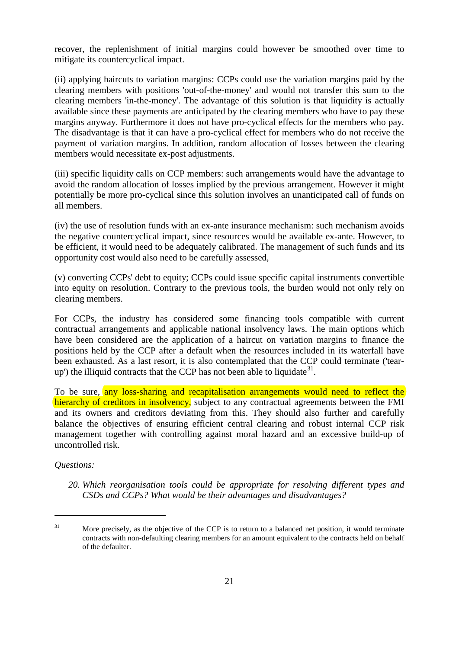recover, the replenishment of initial margins could however be smoothed over time to mitigate its countercyclical impact.

(ii) applying haircuts to variation margins: CCPs could use the variation margins paid by the clearing members with positions 'out-of-the-money' and would not transfer this sum to the clearing members 'in-the-money'. The advantage of this solution is that liquidity is actually available since these payments are anticipated by the clearing members who have to pay these margins anyway. Furthermore it does not have pro-cyclical effects for the members who pay. The disadvantage is that it can have a pro-cyclical effect for members who do not receive the payment of variation margins. In addition, random allocation of losses between the clearing members would necessitate ex-post adjustments.

(iii) specific liquidity calls on CCP members: such arrangements would have the advantage to avoid the random allocation of losses implied by the previous arrangement. However it might potentially be more pro-cyclical since this solution involves an unanticipated call of funds on all members.

(iv) the use of resolution funds with an ex-ante insurance mechanism: such mechanism avoids the negative countercyclical impact, since resources would be available ex-ante. However, to be efficient, it would need to be adequately calibrated. The management of such funds and its opportunity cost would also need to be carefully assessed,

(v) converting CCPs' debt to equity; CCPs could issue specific capital instruments convertible into equity on resolution. Contrary to the previous tools, the burden would not only rely on clearing members.

For CCPs, the industry has considered some financing tools compatible with current contractual arrangements and applicable national insolvency laws. The main options which have been considered are the application of a haircut on variation margins to finance the positions held by the CCP after a default when the resources included in its waterfall have been exhausted. As a last resort, it is also contemplated that the CCP could terminate ('tearup') the illiquid contracts that the CCP has not been able to liquidate  $3^1$ .

To be sure, any loss-sharing and recapitalisation arrangements would need to reflect the hierarchy of creditors in insolvency, subject to any contractual agreements between the FMI and its owners and creditors deviating from this. They should also further and carefully balance the objectives of ensuring efficient central clearing and robust internal CCP risk management together with controlling against moral hazard and an excessive build-up of uncontrolled risk.

#### *Questions:*

 $\overline{a}$ 

*20. Which reorganisation tools could be appropriate for resolving different types and CSDs and CCPs? What would be their advantages and disadvantages?* 

<span id="page-20-0"></span><sup>&</sup>lt;sup>31</sup> More precisely, as the objective of the CCP is to return to a balanced net position, it would terminate contracts with non-defaulting clearing members for an amount equivalent to the contracts held on behalf of the defaulter.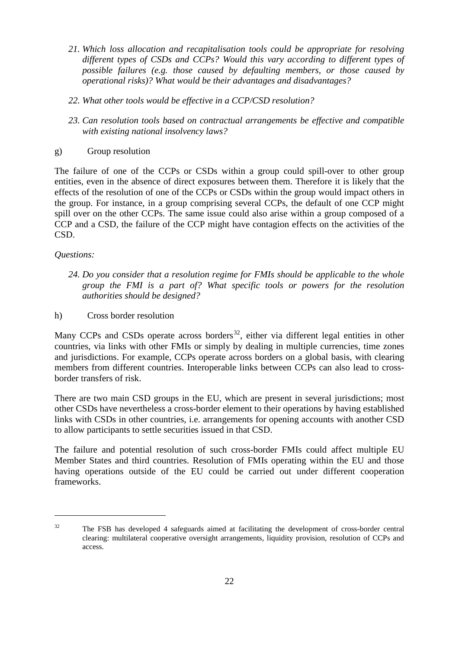- *21. Which loss allocation and recapitalisation tools could be appropriate for resolving different types of CSDs and CCPs? Would this vary according to different types of possible failures (e.g. those caused by defaulting members, or those caused by operational risks)? What would be their advantages and disadvantages?*
- *22. What other tools would be effective in a CCP/CSD resolution?*
- *23. Can resolution tools based on contractual arrangements be effective and compatible with existing national insolvency laws?*
- g) Group resolution

The failure of one of the CCPs or CSDs within a group could spill-over to other group entities, even in the absence of direct exposures between them. Therefore it is likely that the effects of the resolution of one of the CCPs or CSDs within the group would impact others in the group. For instance, in a group comprising several CCPs, the default of one CCP might spill over on the other CCPs. The same issue could also arise within a group composed of a CCP and a CSD, the failure of the CCP might have contagion effects on the activities of the CSD.

# *Questions:*

 $\overline{a}$ 

*24. Do you consider that a resolution regime for FMIs should be applicable to the whole group the FMI is a part of? What specific tools or powers for the resolution authorities should be designed?*

h) Cross border resolution

Many CCPs and CSDs operate across borders<sup>32</sup>, either via different legal entities in other countries, via links with other FMIs or simply by dealing in multiple currencies, time zones and jurisdictions. For example, CCPs operate across borders on a global basis, with clearing members from different countries. Interoperable links between CCPs can also lead to crossborder transfers of risk.

There are two main CSD groups in the EU, which are present in several jurisdictions; most other CSDs have nevertheless a cross-border element to their operations by having established links with CSDs in other countries, i.e. arrangements for opening accounts with another CSD to allow participants to settle securities issued in that CSD.

The failure and potential resolution of such cross-border FMIs could affect multiple EU Member States and third countries. Resolution of FMIs operating within the EU and those having operations outside of the EU could be carried out under different cooperation frameworks.

<span id="page-21-0"></span><sup>&</sup>lt;sup>32</sup> The FSB has developed 4 safeguards aimed at facilitating the development of cross-border central clearing: multilateral cooperative oversight arrangements, liquidity provision, resolution of CCPs and access.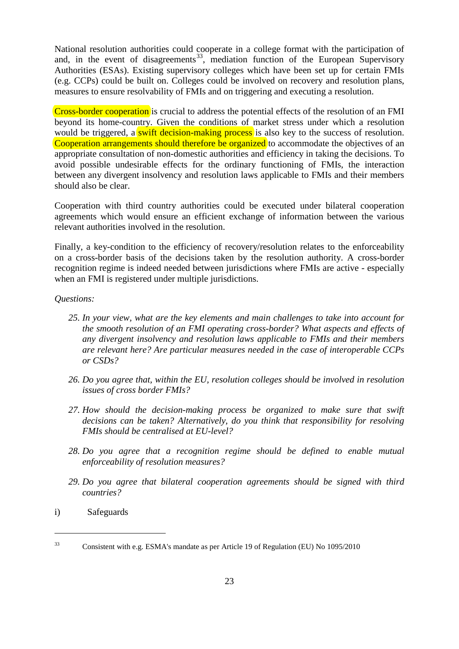National resolution authorities could cooperate in a college format with the participation of and, in the event of disagreements<sup>[33](#page-21-0)</sup>, mediation function of the European Supervisory Authorities (ESAs). Existing supervisory colleges which have been set up for certain FMIs (e.g. CCPs) could be built on. Colleges could be involved on recovery and resolution plans, measures to ensure resolvability of FMIs and on triggering and executing a resolution.

Cross-border cooperation is crucial to address the potential effects of the resolution of an FMI beyond its home-country. Given the conditions of market stress under which a resolution would be triggered, a **swift decision-making process** is also key to the success of resolution. Cooperation arrangements should therefore be organized to accommodate the objectives of an appropriate consultation of non-domestic authorities and efficiency in taking the decisions. To avoid possible undesirable effects for the ordinary functioning of FMIs, the interaction between any divergent insolvency and resolution laws applicable to FMIs and their members should also be clear.

Cooperation with third country authorities could be executed under bilateral cooperation agreements which would ensure an efficient exchange of information between the various relevant authorities involved in the resolution.

Finally, a key-condition to the efficiency of recovery/resolution relates to the enforceability on a cross-border basis of the decisions taken by the resolution authority. A cross-border recognition regime is indeed needed between jurisdictions where FMIs are active - especially when an FMI is registered under multiple jurisdictions.

#### *Questions:*

- *25. In your view, what are the key elements and main challenges to take into account for the smooth resolution of an FMI operating cross-border? What aspects and effects of any divergent insolvency and resolution laws applicable to FMIs and their members are relevant here? Are particular measures needed in the case of interoperable CCPs or CSDs?*
- *26. Do you agree that, within the EU, resolution colleges should be involved in resolution issues of cross border FMIs?*
- *27. How should the decision-making process be organized to make sure that swift decisions can be taken? Alternatively, do you think that responsibility for resolving FMIs should be centralised at EU-level?*
- *28. Do you agree that a recognition regime should be defined to enable mutual enforceability of resolution measures?*
- *29. Do you agree that bilateral cooperation agreements should be signed with third countries?*
- <span id="page-22-0"></span>i) Safeguards

<sup>&</sup>lt;sup>33</sup> Consistent with e.g. ESMA's mandate as per Article 19 of Regulation (EU) No 1095/2010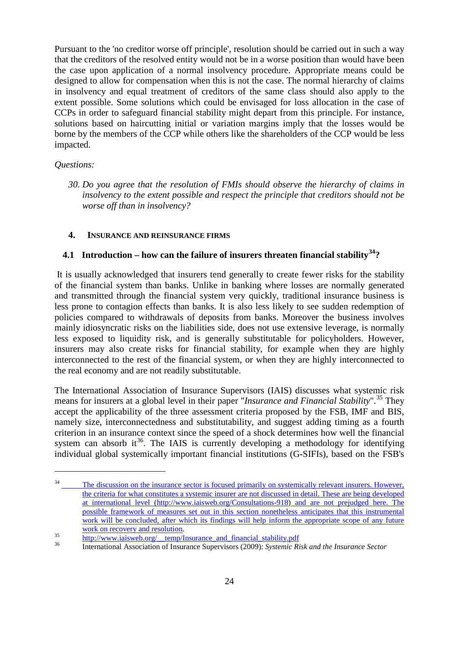Pursuant to the 'no creditor worse off principle', resolution should be carried out in such a way that the creditors of the resolved entity would not be in a worse position than would have been the case upon application of a normal insolvency procedure. Appropriate means could be designed to allow for compensation when this is not the case. The normal hierarchy of claims in insolvency and equal treatment of creditors of the same class should also apply to the extent possible. Some solutions which could be envisaged for loss allocation in the case of CCPs in order to safeguard financial stability might depart from this principle. For instance, solutions based on haircutting initial or variation margins imply that the losses would be borne by the members of the CCP while others like the shareholders of the CCP would be less impacted.

## *Questions:*

<span id="page-23-4"></span> $\overline{a}$ 

*30. Do you agree that the resolution of FMIs should observe the hierarchy of claims in insolvency to the extent possible and respect the principle that creditors should not be worse off than in insolvency?* 

#### <span id="page-23-0"></span>**4. INSURANCE AND REINSURANCE FIRMS**

# <span id="page-23-1"></span>**4.1 Introduction – how can the failure of insurers threaten financial stability[34?](#page-22-0)**

It is usually acknowledged that insurers tend generally to create fewer risks for the stability of the financial system than banks. Unlike in banking where losses are normally generated and transmitted through the financial system very quickly, traditional insurance business is less prone to contagion effects than banks. It is also less likely to see sudden redemption of policies compared to withdrawals of deposits from banks. Moreover the business involves mainly idiosyncratic risks on the liabilities side, does not use extensive leverage, is normally less exposed to liquidity risk, and is generally substitutable for policyholders. However, insurers may also create risks for financial stability, for example when they are highly interconnected to the rest of the financial system, or when they are highly interconnected to the real economy and are not readily substitutable.

The International Association of Insurance Supervisors (IAIS) discusses what systemic risk means for insurers at a global level in their paper "*Insurance and Financial Stability*".<sup>[35](#page-23-2)</sup> They accept the applicability of the three assessment criteria proposed by the FSB, IMF and BIS, namely size, interconnectedness and substitutability, and suggest adding timing as a fourth criterion in an insurance context since the speed of a shock determines how well the financial system can absorb it<sup>[36](#page-23-3)</sup>. The IAIS is currently developing a methodology for identifying individual global systemically important financial institutions (G-SIFIs), based on the FSB's

<sup>&</sup>lt;sup>34</sup> The discussion on the insurance sector is focused primarily on systemically relevant insurers. However, the criteria for what constitutes a systemic insurer are not discussed in detail. These are being developed at international level [\(http://www.iaisweb.org/Consultations-918\)](http://www.iaisweb.org/Consultations-918) and are not prejudged here. The possible framework of measures set out in this section nonetheless anticipates that this instrumental work will be concluded, after which its findings will help inform the appropriate scope of any future work on recovery and resolution.

<span id="page-23-3"></span>

<span id="page-23-2"></span>work on recovery and resolution.<br>
35 [http://www.iaisweb.org/\\_\\_temp/Insurance\\_and\\_financial\\_stability.pdf](http://www.iaisweb.org/__temp/Insurance_and_financial_stability.pdf)<br>
36 International Association of Insurance Supervisors (2009): *Systemic Risk and the Insurance Sector*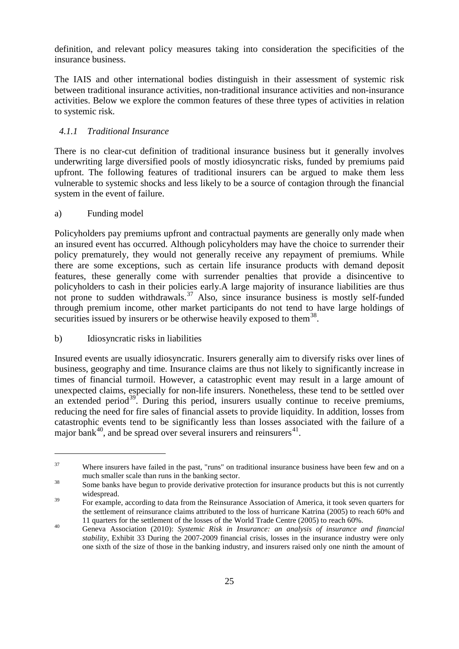definition, and relevant policy measures taking into consideration the specificities of the insurance business.

The IAIS and other international bodies distinguish in their assessment of systemic risk between traditional insurance activities, non-traditional insurance activities and non-insurance activities. Below we explore the common features of these three types of activities in relation to systemic risk.

# <span id="page-24-0"></span>*4.1.1 Traditional Insurance*

There is no clear-cut definition of traditional insurance business but it generally involves underwriting large diversified pools of mostly idiosyncratic risks, funded by premiums paid upfront. The following features of traditional insurers can be argued to make them less vulnerable to systemic shocks and less likely to be a source of contagion through the financial system in the event of failure.

#### a) Funding model

<span id="page-24-5"></span> $\overline{a}$ 

Policyholders pay premiums upfront and contractual payments are generally only made when an insured event has occurred. Although policyholders may have the choice to surrender their policy prematurely, they would not generally receive any repayment of premiums. While there are some exceptions, such as certain life insurance products with demand deposit features, these generally come with surrender penalties that provide a disincentive to policyholders to cash in their policies early.A large majority of insurance liabilities are thus not prone to sudden withdrawals.<sup>[37](#page-23-4)</sup> Also, since insurance business is mostly self-funded through premium income, other market participants do not tend to have large holdings of securities issued by insurers or be otherwise heavily exposed to them<sup>38</sup>.

## <span id="page-24-4"></span>b) Idiosyncratic risks in liabilities

Insured events are usually idiosyncratic. Insurers generally aim to diversify risks over lines of business, geography and time. Insurance claims are thus not likely to significantly increase in times of financial turmoil. However, a catastrophic event may result in a large amount of unexpected claims, especially for non-life insurers. Nonetheless, these tend to be settled over an extended period<sup>[39](#page-24-2)</sup>. During this period, insurers usually continue to receive premiums, reducing the need for fire sales of financial assets to provide liquidity. In addition, losses from catastrophic events tend to be significantly less than losses associated with the failure of a major bank<sup>40</sup>, and be spread over several insurers and reinsurers<sup>[41](#page-24-4)</sup>.

 $37$  Where insurers have failed in the past, "runs" on traditional insurance business have been few and on a much smaller scale than runs in the banking sector.<br>Some banks have begun to provide derivative protection for insurance products but this is not currently

<span id="page-24-1"></span>widespread.

<span id="page-24-2"></span> $\frac{1}{39}$  For example, according to data from the Reinsurance Association of America, it took seven quarters for the settlement of reinsurance claims attributed to the loss of hurricane Katrina (2005) to reach 60% and

<span id="page-24-3"></span><sup>11</sup> quarters for the settlement of the losses of the World Trade Centre (2005) to reach 60%.<br><sup>40</sup> Geneva Association (2010): *Systemic Risk in Insurance: an analysis of insurance and financial stability*, Exhibit 33 During the 2007-2009 financial crisis, losses in the insurance industry were only one sixth of the size of those in the banking industry, and insurers raised only one ninth the amount of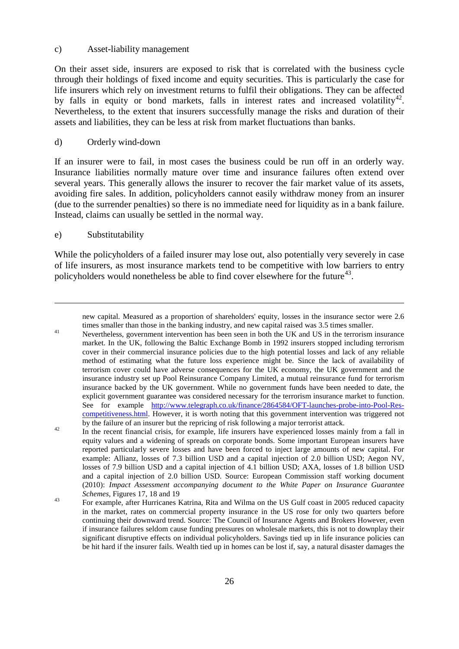#### c) Asset-liability management

On their asset side, insurers are exposed to risk that is correlated with the business cycle through their holdings of fixed income and equity securities. This is particularly the case for life insurers which rely on investment returns to fulfil their obligations. They can be affected by falls in equity or bond markets, falls in interest rates and increased volatility<sup>42</sup>. Nevertheless, to the extent that insurers successfully manage the risks and duration of their assets and liabilities, they can be less at risk from market fluctuations than banks.

## d) Orderly wind-down

If an insurer were to fail, in most cases the business could be run off in an orderly way. Insurance liabilities normally mature over time and insurance failures often extend over several years. This generally allows the insurer to recover the fair market value of its assets, avoiding fire sales. In addition, policyholders cannot easily withdraw money from an insurer (due to the surrender penalties) so there is no immediate need for liquidity as in a bank failure. Instead, claims can usually be settled in the normal way.

#### e) Substitutability

<u>.</u>

While the policyholders of a failed insurer may lose out, also potentially very severely in case of life insurers, as most insurance markets tend to be competitive with low barriers to entry policyholders would nonetheless be able to find cover elsewhere for the future<sup>43</sup>.

new capital. Measured as a proportion of shareholders' equity, losses in the insurance sector were 2.6 times smaller than those in the banking industry, and new capital raised was 3.5 times smaller.

throw smaller than those in the banking industry, and new capital raised was 5.6 times smaller.<br>Nevertheless, government intervention has been seen in both the UK and US in the terrorism insurance market. In the UK, following the Baltic Exchange Bomb in 1992 insurers stopped including terrorism cover in their commercial insurance policies due to the high potential losses and lack of any reliable method of estimating what the future loss experience might be. Since the lack of availability of terrorism cover could have adverse consequences for the UK economy, the UK government and the insurance industry set up Pool Reinsurance Company Limited, a mutual reinsurance fund for terrorism insurance backed by the UK government. While no government funds have been needed to date, the explicit government guarantee was considered necessary for the terrorism insurance market to function. See for example [http://www.telegraph.co.uk/finance/2864584/OFT-launches-probe-into-Pool-Res](http://www.telegraph.co.uk/finance/2864584/OFT-launches-probe-into-Pool-Res-competitiveness.html)[competitiveness.html.](http://www.telegraph.co.uk/finance/2864584/OFT-launches-probe-into-Pool-Res-competitiveness.html) However, it is worth noting that this government intervention was triggered not

<span id="page-25-1"></span>by the failure of an insurer but the repricing of risk following a major terrorist attack.<br>
In the recent financial crisis, for example, life insurers have experienced losses mainly from a fall in equity values and a widening of spreads on corporate bonds. Some important European insurers have reported particularly severe losses and have been forced to inject large amounts of new capital. For example: Allianz, losses of 7.3 billion USD and a capital injection of 2.0 billion USD; Aegon NV, losses of 7.9 billion USD and a capital injection of 4.1 billion USD; AXA, losses of 1.8 billion USD and a capital injection of 2.0 billion USD. Source: European Commission staff working document (2010): *Impact Assessment accompanying document to the White Paper on Insurance Guarantee Schemes*, Figures 17, 18 and 19<br>For example, after Hurricanes Katrina, Rita and Wilma on the US Gulf coast in 2005 reduced capacity

<span id="page-25-0"></span>in the market, rates on commercial property insurance in the US rose for only two quarters before continuing their downward trend. Source: The Council of Insurance Agents and Brokers However, even if insurance failures seldom cause funding pressures on wholesale markets, this is not to downplay their significant disruptive effects on individual policyholders. Savings tied up in life insurance policies can be hit hard if the insurer fails. Wealth tied up in homes can be lost if, say, a natural disaster damages the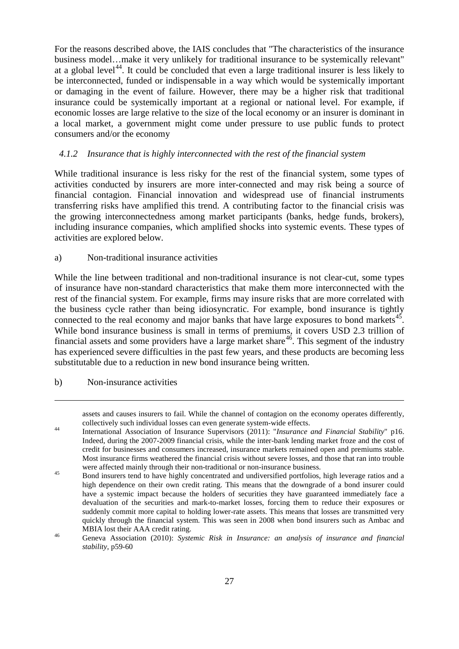For the reasons described above, the IAIS concludes that "The characteristics of the insurance business model…make it very unlikely for traditional insurance to be systemically relevant" at a global level<sup>[44](#page-25-1)</sup>. It could be concluded that even a large traditional insurer is less likely to be interconnected, funded or indispensable in a way which would be systemically important or damaging in the event of failure. However, there may be a higher risk that traditional insurance could be systemically important at a regional or national level. For example, if economic losses are large relative to the size of the local economy or an insurer is dominant in a local market, a government might come under pressure to use public funds to protect consumers and/or the economy

## <span id="page-26-0"></span>*4.1.2 Insurance that is highly interconnected with the rest of the financial system*

While traditional insurance is less risky for the rest of the financial system, some types of activities conducted by insurers are more inter-connected and may risk being a source of financial contagion. Financial innovation and widespread use of financial instruments transferring risks have amplified this trend. A contributing factor to the financial crisis was the growing interconnectedness among market participants (banks, hedge funds, brokers), including insurance companies, which amplified shocks into systemic events. These types of activities are explored below.

## a) Non-traditional insurance activities

While the line between traditional and non-traditional insurance is not clear-cut, some types of insurance have non-standard characteristics that make them more interconnected with the rest of the financial system. For example, firms may insure risks that are more correlated with the business cycle rather than being idiosyncratic. For example, bond insurance is tightly connected to the real economy and major banks that have large exposures to bond markets<sup>45</sup>. While bond insurance business is small in terms of premiums, it covers USD 2.3 trillion of financial assets and some providers have a large market share<sup>[46](#page-26-2)</sup>. This segment of the industry has experienced severe difficulties in the past few years, and these products are becoming less substitutable due to a reduction in new bond insurance being written.

<span id="page-26-3"></span>b) Non-insurance activities

-

assets and causes insurers to fail. While the channel of contagion on the economy operates differently,

collectively such individual losses can even generate system-wide effects. 44 International Association of Insurance Supervisors (2011): "*Insurance and Financial Stability*" p16. Indeed, during the 2007-2009 financial crisis, while the inter-bank lending market froze and the cost of credit for businesses and consumers increased, insurance markets remained open and premiums stable. Most insurance firms weathered the financial crisis without severe losses, and those that ran into trouble

<span id="page-26-1"></span>were affected mainly through their non-traditional or non-insurance business.<br>45 Bond insurers tend to have highly concentrated and undiversified portfolios, high leverage ratios and a high dependence on their own credit rating. This means that the downgrade of a bond insurer could have a systemic impact because the holders of securities they have guaranteed immediately face a devaluation of the securities and mark-to-market losses, forcing them to reduce their exposures or suddenly commit more capital to holding lower-rate assets. This means that losses are transmitted very quickly through the financial system. This was seen in 2008 when bond insurers such as Ambac and

<span id="page-26-2"></span>MBIA lost their AAA credit rating.<br><sup>46</sup> Geneva Association (2010): *Systemic Risk in Insurance: an analysis of insurance and financial stability*, p59-60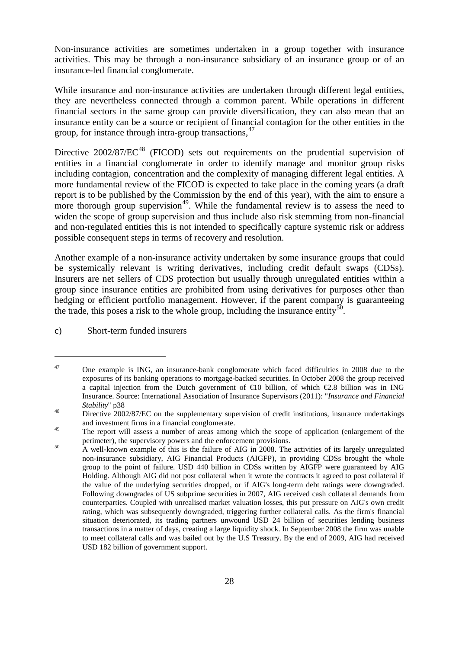Non-insurance activities are sometimes undertaken in a group together with insurance activities. This may be through a non-insurance subsidiary of an insurance group or of an insurance-led financial conglomerate.

While insurance and non-insurance activities are undertaken through different legal entities, they are nevertheless connected through a common parent. While operations in different financial sectors in the same group can provide diversification, they can also mean that an insurance entity can be a source or recipient of financial contagion for the other entities in the group, for instance through intra-group transactions, [47](#page-26-3)

Directive  $2002/87/EC^{48}$  $2002/87/EC^{48}$  $2002/87/EC^{48}$  (FICOD) sets out requirements on the prudential supervision of entities in a financial conglomerate in order to identify manage and monitor group risks including contagion, concentration and the complexity of managing different legal entities. A more fundamental review of the FICOD is expected to take place in the coming years (a draft report is to be published by the Commission by the end of this year), with the aim to ensure a more thorough group supervision<sup>49</sup>. While the fundamental review is to assess the need to widen the scope of group supervision and thus include also risk stemming from non-financial and non-regulated entities this is not intended to specifically capture systemic risk or address possible consequent steps in terms of recovery and resolution.

Another example of a non-insurance activity undertaken by some insurance groups that could be systemically relevant is writing derivatives, including credit default swaps (CDSs). Insurers are net sellers of CDS protection but usually through unregulated entities within a group since insurance entities are prohibited from using derivatives for purposes other than hedging or efficient portfolio management. However, if the parent company is guaranteeing the trade, this poses a risk to the whole group, including the insurance entity<sup>[50](#page-27-2)</sup>.

c) Short-term funded insurers

<sup>&</sup>lt;sup>47</sup> One example is ING, an insurance-bank conglomerate which faced difficulties in 2008 due to the exposures of its banking operations to mortgage-backed securities. In October 2008 the group received a capital injection from the Dutch government of  $\infty$  0 billion, of which  $\infty$ .8 billion was in ING Insurance. Source: International Association of Insurance Supervisors (2011): "*Insurance and Financial Stability*" p38<br>
Directive 2002/87/EC on the supplementary supervision of credit institutions, insurance undertakings

<span id="page-27-0"></span>and investment firms in a financial conglomerate.

<span id="page-27-1"></span><sup>&</sup>lt;sup>49</sup> The report will assess a number of areas among which the scope of application (enlargement of the perimeter), the supervisory powers and the enforcement provisions.<br>A well-known example of this is the failure of AIG in 2008. The activities of its largely unregulated

<span id="page-27-3"></span><span id="page-27-2"></span>non-insurance subsidiary, AIG Financial Products (AIGFP), in providing CDSs brought the whole group to the point of failure. USD 440 billion in CDSs written by AIGFP were guaranteed by AIG Holding. Although AIG did not post collateral when it wrote the contracts it agreed to post collateral if the value of the underlying securities dropped, or if AIG's long-term debt ratings were downgraded. Following downgrades of US subprime securities in 2007, AIG received cash collateral demands from counterparties. Coupled with unrealised market valuation losses, this put pressure on AIG's own credit rating, which was subsequently downgraded, triggering further collateral calls. As the firm's financial situation deteriorated, its trading partners unwound USD 24 billion of securities lending business transactions in a matter of days, creating a large liquidity shock. In September 2008 the firm was unable to meet collateral calls and was bailed out by the U.S Treasury. By the end of 2009, AIG had received USD 182 billion of government support.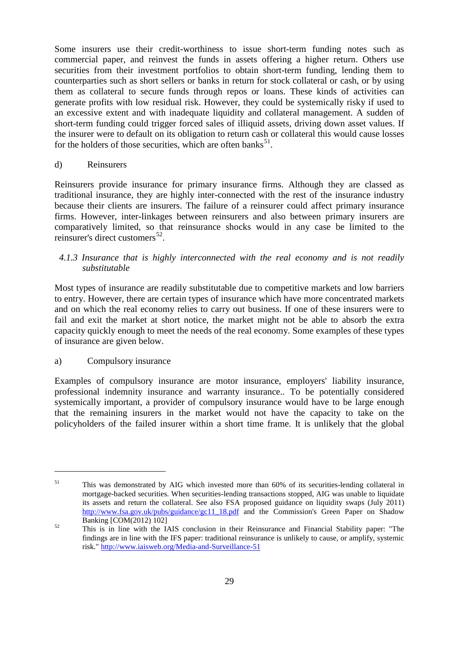Some insurers use their credit-worthiness to issue short-term funding notes such as commercial paper, and reinvest the funds in assets offering a higher return. Others use securities from their investment portfolios to obtain short-term funding, lending them to counterparties such as short sellers or banks in return for stock collateral or cash, or by using them as collateral to secure funds through repos or loans. These kinds of activities can generate profits with low residual risk. However, they could be systemically risky if used to an excessive extent and with inadequate liquidity and collateral management. A sudden of short-term funding could trigger forced sales of illiquid assets, driving down asset values. If the insurer were to default on its obligation to return cash or collateral this would cause losses for the holders of those securities, which are often banks<sup>51</sup>.

## d) Reinsurers

Reinsurers provide insurance for primary insurance firms. Although they are classed as traditional insurance, they are highly inter-connected with the rest of the insurance industry because their clients are insurers. The failure of a reinsurer could affect primary insurance firms. However, inter-linkages between reinsurers and also between primary insurers are comparatively limited, so that reinsurance shocks would in any case be limited to the reinsurer's direct customers<sup>52</sup>.

# <span id="page-28-0"></span>*4.1.3 Insurance that is highly interconnected with the real economy and is not readily substitutable*

Most types of insurance are readily substitutable due to competitive markets and low barriers to entry. However, there are certain types of insurance which have more concentrated markets and on which the real economy relies to carry out business. If one of these insurers were to fail and exit the market at short notice, the market might not be able to absorb the extra capacity quickly enough to meet the needs of the real economy. Some examples of these types of insurance are given below.

# <span id="page-28-2"></span>a) Compulsory insurance

 $\overline{a}$ 

Examples of compulsory insurance are motor insurance, employers' liability insurance, professional indemnity insurance and warranty insurance.. To be potentially considered systemically important, a provider of compulsory insurance would have to be large enough that the remaining insurers in the market would not have the capacity to take on the policyholders of the failed insurer within a short time frame. It is unlikely that the global

<sup>&</sup>lt;sup>51</sup> This was demonstrated by AIG which invested more than 60% of its securities-lending collateral in mortgage-backed securities. When securities-lending transactions stopped, AIG was unable to liquidate its assets and return the collateral. See also FSA proposed guidance on liquidity swaps (July 2011) [http://www.fsa.gov.uk/pubs/guidance/gc11\\_18.pdf](http://www.fsa.gov.uk/pubs/guidance/gc11_18.pdf) and the Commission's Green Paper on Shadow Banking [COM(2012) 102]

<span id="page-28-1"></span><sup>&</sup>lt;sup>52</sup> This is in line with the IAIS conclusion in their Reinsurance and Financial Stability paper: "The findings are in line with the IFS paper: traditional reinsurance is unlikely to cause, or amplify, systemic risk." <http://www.iaisweb.org/Media-and-Surveillance-51>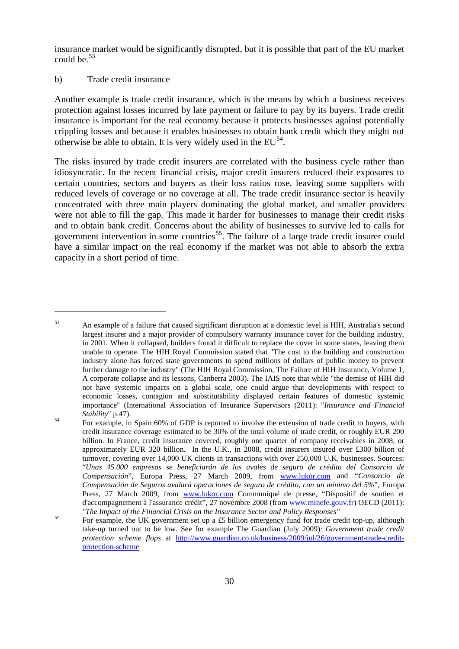insurance market would be significantly disrupted, but it is possible that part of the EU market could be  $53$ 

#### b) Trade credit insurance

 $\overline{a}$ 

Another example is trade credit insurance, which is the means by which a business receives protection against losses incurred by late payment or failure to pay by its buyers. Trade credit insurance is important for the real economy because it protects businesses against potentially crippling losses and because it enables businesses to obtain bank credit which they might not otherwise be able to obtain. It is very widely used in the  $EU^{54}$  $EU^{54}$  $EU^{54}$ .

The risks insured by trade credit insurers are correlated with the business cycle rather than idiosyncratic. In the recent financial crisis, major credit insurers reduced their exposures to certain countries, sectors and buyers as their loss ratios rose, leaving some suppliers with reduced levels of coverage or no coverage at all. The trade credit insurance sector is heavily concentrated with three main players dominating the global market, and smaller providers were not able to fill the gap. This made it harder for businesses to manage their credit risks and to obtain bank credit. Concerns about the ability of businesses to survive led to calls for government intervention in some countries<sup>[55](#page-29-1)</sup>. The failure of a large trade credit insurer could have a similar impact on the real economy if the market was not able to absorb the extra capacity in a short period of time.

<sup>53</sup> An example of a failure that caused significant disruption at a domestic level is HIH, Australia's second largest insurer and a major provider of compulsory warranty insurance cover for the building industry, in 2001. When it collapsed, builders found it difficult to replace the cover in some states, leaving them unable to operate. The HIH Royal Commission stated that "The cost to the building and construction industry alone has forced state governments to spend millions of dollars of public money to prevent further damage to the industry" (The HIH Royal Commission, The Failure of HIH Insurance, Volume 1, A corporate collapse and its lessons, Canberra 2003). The IAIS note that while "the demise of HIH did not have systemic impacts on a global scale, one could argue that developments with respect to economic losses, contagion and substitutability displayed certain features of domestic systemic importance" (International Association of Insurance Supervisors (2011): "*Insurance and Financial* 

<span id="page-29-2"></span><span id="page-29-0"></span>*Stability*" p.47).<br>
For example, in Spain 60% of GDP is reported to involve the extension of trade credit to buyers, with credit insurance coverage estimated to be 30% of the total volume of trade credit, or roughly EUR 200 billion. In France, credit insurance covered, roughly one quarter of company receivables in 2008, or approximately EUR 320 billion. In the U.K., in 2008, credit insurers insured over £300 billion of turnover, covering over 14,000 UK clients in transactions with over 250,000 U.K. businesses. Sources: "*Unas 45.000 empresas se beneficiarán de los avales de seguro de crédito del Consorcio de Compensación*", Europa Press, 27 March 2009, from [www.lukor.com](http://www.lukor.com/) and "*Consorcio de Compensación de Seguros avalará operaciones de seguro de crédito, con un mínimo del 5%*", Europa Press, 27 March 2009, from [www.lukor.com](http://www.lukor.com/) Communiqué de presse, "Dispositif de soutien et d'accompagnement à l'assurance crédit", 27 novembre 2008 (from [www.minefe.gouv.fr\)](http://www.minefe.gouv.fr/) OECD (2011):<br>"The Impact of the Financial Crisis on the Insurance Sector and Policy Responses"

<span id="page-29-1"></span><sup>&</sup>lt;sup>55</sup> For example, the UK government set up a £5 billion emergency fund for trade credit top-up, although take-up turned out to be low. See for example The Guardian (July 2009): *Government trade credit protection scheme flops* at [http://www.guardian.co.uk/business/2009/jul/26/government-trade-credit](http://www.guardian.co.uk/business/2009/jul/26/government-trade-credit-protection-scheme)[protection-scheme](http://www.guardian.co.uk/business/2009/jul/26/government-trade-credit-protection-scheme)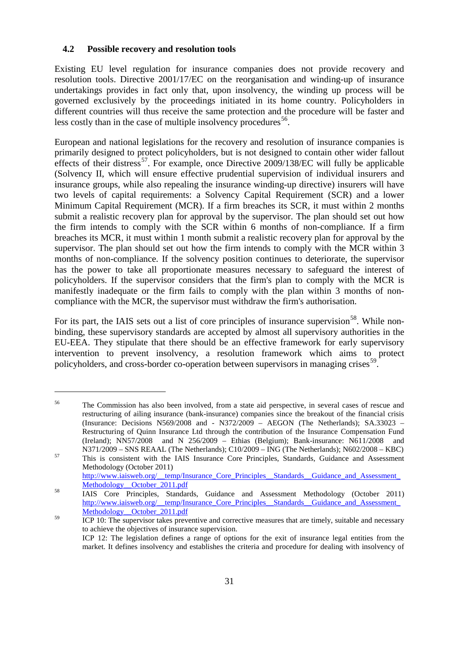## <span id="page-30-0"></span>**4.2 Possible recovery and resolution tools**

 $\overline{a}$ 

Existing EU level regulation for insurance companies does not provide recovery and resolution tools. Directive 2001/17/EC on the reorganisation and winding-up of insurance undertakings provides in fact only that, upon insolvency, the winding up process will be governed exclusively by the proceedings initiated in its home country. Policyholders in different countries will thus receive the same protection and the procedure will be faster and less costly than in the case of multiple insolvency procedures  $56$ .

European and national legislations for the recovery and resolution of insurance companies is primarily designed to protect policyholders, but is not designed to contain other wider fallout effects of their distress<sup>57</sup>. For example, once Directive  $2009/138/EC$  will fully be applicable (Solvency II, which will ensure effective prudential supervision of individual insurers and insurance groups, while also repealing the insurance winding-up directive) insurers will have two levels of capital requirements: a Solvency Capital Requirement (SCR) and a lower Minimum Capital Requirement (MCR). If a firm breaches its SCR, it must within 2 months submit a realistic recovery plan for approval by the supervisor. The plan should set out how the firm intends to comply with the SCR within 6 months of non-compliance. If a firm breaches its MCR, it must within 1 month submit a realistic recovery plan for approval by the supervisor. The plan should set out how the firm intends to comply with the MCR within 3 months of non-compliance. If the solvency position continues to deteriorate, the supervisor has the power to take all proportionate measures necessary to safeguard the interest of policyholders. If the supervisor considers that the firm's plan to comply with the MCR is manifestly inadequate or the firm fails to comply with the plan within 3 months of noncompliance with the MCR, the supervisor must withdraw the firm's authorisation.

For its part, the IAIS sets out a list of core principles of insurance supervision<sup>58</sup>. While nonbinding, these supervisory standards are accepted by almost all supervisory authorities in the EU-EEA. They stipulate that there should be an effective framework for early supervisory intervention to prevent insolvency, a resolution framework which aims to protect policyholders, and cross-border co-operation between supervisors in managing crises<sup>59</sup>.

<sup>56</sup> The Commission has also been involved, from a state aid perspective, in several cases of rescue and restructuring of ailing insurance (bank-insurance) companies since the breakout of the financial crisis (Insurance: Decisions N569/2008 and - N372/2009 – AEGON (The Netherlands); SA.33023 – Restructuring of Quinn Insurance Ltd through the contribution of the Insurance Compensation Fund (Ireland); NN57/2008 and N 256/2009 – Ethias (Belgium); Bank-insurance: N611/2008 and

<span id="page-30-1"></span>N371/2009 – SNS REAAL (The Netherlands); C10/2009 – ING (The Netherlands); N602/2008 – KBC)<br><sup>57</sup> This is consistent with the IAIS Insurance Core Principles, Standards, Guidance and Assessment Methodology (October 2011)

[http://www.iaisweb.org/\\_\\_temp/Insurance\\_Core\\_Principles\\_\\_Standards\\_\\_Guidance\\_and\\_Assessment\\_](http://www.iaisweb.org/__temp/Insurance_Core_Principles__Standards__Guidance_and_Assessment_Methodology__October_2011.pdf)<br>Methodology\_\_October\_2011.pdf

<span id="page-30-2"></span><sup>58</sup> IAIS Core Principles, Standards, Guidance and Assessment Methodology (October 2011) [http://www.iaisweb.org/\\_\\_temp/Insurance\\_Core\\_Principles\\_\\_Standards\\_\\_Guidance\\_and\\_Assessment\\_](http://www.iaisweb.org/__temp/Insurance_Core_Principles__Standards__Guidance_and_Assessment_Methodology__October_2011.pdf) Methodology October 2011.pdf

<span id="page-30-4"></span><span id="page-30-3"></span><sup>&</sup>lt;sup>59</sup> ICP 10: The supervisor takes preventive and corrective measures that are timely, suitable and necessary to achieve the objectives of insurance supervision. ICP 12: The legislation defines a range of options for the exit of insurance legal entities from the market. It defines insolvency and establishes the criteria and procedure for dealing with insolvency of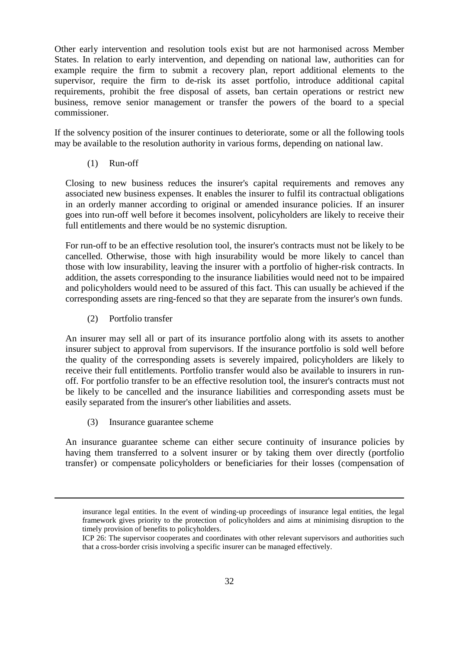Other early intervention and resolution tools exist but are not harmonised across Member States. In relation to early intervention, and depending on national law, authorities can for example require the firm to submit a recovery plan, report additional elements to the supervisor, require the firm to de-risk its asset portfolio, introduce additional capital requirements, prohibit the free disposal of assets, ban certain operations or restrict new business, remove senior management or transfer the powers of the board to a special commissioner.

If the solvency position of the insurer continues to deteriorate, some or all the following tools may be available to the resolution authority in various forms, depending on national law.

(1) Run-off

Closing to new business reduces the insurer's capital requirements and removes any associated new business expenses. It enables the insurer to fulfil its contractual obligations in an orderly manner according to original or amended insurance policies. If an insurer goes into run-off well before it becomes insolvent, policyholders are likely to receive their full entitlements and there would be no systemic disruption.

For run-off to be an effective resolution tool, the insurer's contracts must not be likely to be cancelled. Otherwise, those with high insurability would be more likely to cancel than those with low insurability, leaving the insurer with a portfolio of higher-risk contracts. In addition, the assets corresponding to the insurance liabilities would need not to be impaired and policyholders would need to be assured of this fact. This can usually be achieved if the corresponding assets are ring-fenced so that they are separate from the insurer's own funds.

(2) Portfolio transfer

An insurer may sell all or part of its insurance portfolio along with its assets to another insurer subject to approval from supervisors. If the insurance portfolio is sold well before the quality of the corresponding assets is severely impaired, policyholders are likely to receive their full entitlements. Portfolio transfer would also be available to insurers in runoff. For portfolio transfer to be an effective resolution tool, the insurer's contracts must not be likely to be cancelled and the insurance liabilities and corresponding assets must be easily separated from the insurer's other liabilities and assets.

(3) Insurance guarantee scheme

-

An insurance guarantee scheme can either secure continuity of insurance policies by having them transferred to a solvent insurer or by taking them over directly (portfolio transfer) or compensate policyholders or beneficiaries for their losses (compensation of

insurance legal entities. In the event of winding-up proceedings of insurance legal entities, the legal framework gives priority to the protection of policyholders and aims at minimising disruption to the timely provision of benefits to policyholders.

ICP 26: The supervisor cooperates and coordinates with other relevant supervisors and authorities such that a cross-border crisis involving a specific insurer can be managed effectively.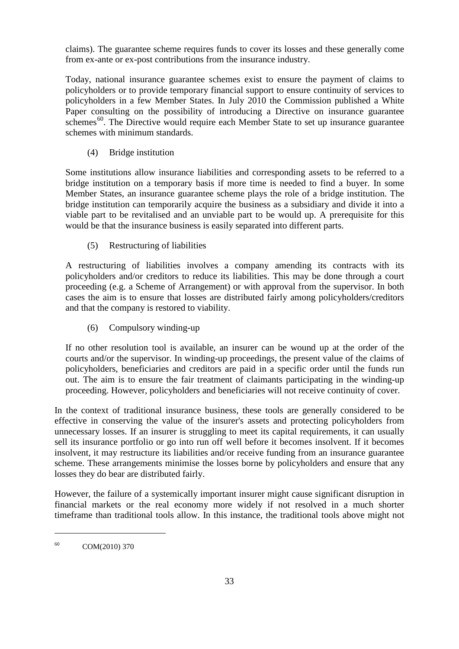claims). The guarantee scheme requires funds to cover its losses and these generally come from ex-ante or ex-post contributions from the insurance industry.

Today, national insurance guarantee schemes exist to ensure the payment of claims to policyholders or to provide temporary financial support to ensure continuity of services to policyholders in a few Member States. In July 2010 the Commission published a White Paper consulting on the possibility of introducing a Directive on insurance guarantee schemes<sup>[60](#page-30-4)</sup>. The Directive would require each Member State to set up insurance guarantee schemes with minimum standards.

(4) Bridge institution

Some institutions allow insurance liabilities and corresponding assets to be referred to a bridge institution on a temporary basis if more time is needed to find a buyer. In some Member States, an insurance guarantee scheme plays the role of a bridge institution. The bridge institution can temporarily acquire the business as a subsidiary and divide it into a viable part to be revitalised and an unviable part to be would up. A prerequisite for this would be that the insurance business is easily separated into different parts.

(5) Restructuring of liabilities

A restructuring of liabilities involves a company amending its contracts with its policyholders and/or creditors to reduce its liabilities. This may be done through a court proceeding (e.g. a Scheme of Arrangement) or with approval from the supervisor. In both cases the aim is to ensure that losses are distributed fairly among policyholders/creditors and that the company is restored to viability.

(6) Compulsory winding-up

If no other resolution tool is available, an insurer can be wound up at the order of the courts and/or the supervisor. In winding-up proceedings, the present value of the claims of policyholders, beneficiaries and creditors are paid in a specific order until the funds run out. The aim is to ensure the fair treatment of claimants participating in the winding-up proceeding. However, policyholders and beneficiaries will not receive continuity of cover.

In the context of traditional insurance business, these tools are generally considered to be effective in conserving the value of the insurer's assets and protecting policyholders from unnecessary losses. If an insurer is struggling to meet its capital requirements, it can usually sell its insurance portfolio or go into run off well before it becomes insolvent. If it becomes insolvent, it may restructure its liabilities and/or receive funding from an insurance guarantee scheme. These arrangements minimise the losses borne by policyholders and ensure that any losses they do bear are distributed fairly.

<span id="page-32-0"></span>However, the failure of a systemically important insurer might cause significant disruption in financial markets or the real economy more widely if not resolved in a much shorter timeframe than traditional tools allow. In this instance, the traditional tools above might not

<sup>60</sup> COM(2010) 370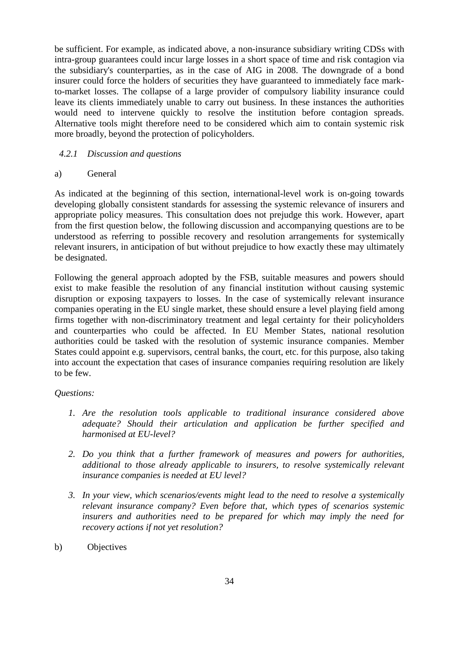be sufficient. For example, as indicated above, a non-insurance subsidiary writing CDSs with intra-group guarantees could incur large losses in a short space of time and risk contagion via the subsidiary's counterparties, as in the case of AIG in 2008. The downgrade of a bond insurer could force the holders of securities they have guaranteed to immediately face markto-market losses. The collapse of a large provider of compulsory liability insurance could leave its clients immediately unable to carry out business. In these instances the authorities would need to intervene quickly to resolve the institution before contagion spreads. Alternative tools might therefore need to be considered which aim to contain systemic risk more broadly, beyond the protection of policyholders.

# <span id="page-33-0"></span>*4.2.1 Discussion and questions*

## a) General

As indicated at the beginning of this section, international-level work is on-going towards developing globally consistent standards for assessing the systemic relevance of insurers and appropriate policy measures. This consultation does not prejudge this work. However, apart from the first question below, the following discussion and accompanying questions are to be understood as referring to possible recovery and resolution arrangements for systemically relevant insurers, in anticipation of but without prejudice to how exactly these may ultimately be designated.

Following the general approach adopted by the FSB, suitable measures and powers should exist to make feasible the resolution of any financial institution without causing systemic disruption or exposing taxpayers to losses. In the case of systemically relevant insurance companies operating in the EU single market, these should ensure a level playing field among firms together with non-discriminatory treatment and legal certainty for their policyholders and counterparties who could be affected. In EU Member States, national resolution authorities could be tasked with the resolution of systemic insurance companies. Member States could appoint e.g. supervisors, central banks, the court, etc. for this purpose, also taking into account the expectation that cases of insurance companies requiring resolution are likely to be few.

## *Questions:*

- *1. Are the resolution tools applicable to traditional insurance considered above adequate? Should their articulation and application be further specified and harmonised at EU-level?*
- *2. Do you think that a further framework of measures and powers for authorities, additional to those already applicable to insurers, to resolve systemically relevant insurance companies is needed at EU level?*
- *3. In your view, which scenarios/events might lead to the need to resolve a systemically relevant insurance company? Even before that, which types of scenarios systemic insurers and authorities need to be prepared for which may imply the need for recovery actions if not yet resolution?*
- b) Objectives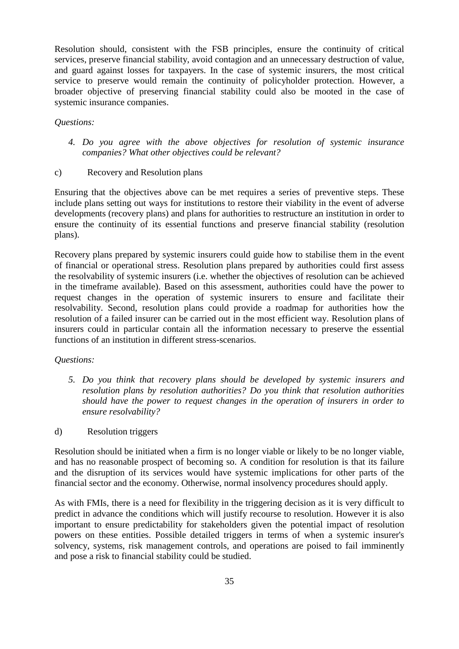Resolution should, consistent with the FSB principles, ensure the continuity of critical services, preserve financial stability, avoid contagion and an unnecessary destruction of value, and guard against losses for taxpayers. In the case of systemic insurers, the most critical service to preserve would remain the continuity of policyholder protection. However, a broader objective of preserving financial stability could also be mooted in the case of systemic insurance companies.

## *Questions:*

- *4. Do you agree with the above objectives for resolution of systemic insurance companies? What other objectives could be relevant?*
- c) Recovery and Resolution plans

Ensuring that the objectives above can be met requires a series of preventive steps. These include plans setting out ways for institutions to restore their viability in the event of adverse developments (recovery plans) and plans for authorities to restructure an institution in order to ensure the continuity of its essential functions and preserve financial stability (resolution plans).

Recovery plans prepared by systemic insurers could guide how to stabilise them in the event of financial or operational stress. Resolution plans prepared by authorities could first assess the resolvability of systemic insurers (i.e. whether the objectives of resolution can be achieved in the timeframe available). Based on this assessment, authorities could have the power to request changes in the operation of systemic insurers to ensure and facilitate their resolvability. Second, resolution plans could provide a roadmap for authorities how the resolution of a failed insurer can be carried out in the most efficient way. Resolution plans of insurers could in particular contain all the information necessary to preserve the essential functions of an institution in different stress-scenarios.

# *Questions:*

- *5. Do you think that recovery plans should be developed by systemic insurers and resolution plans by resolution authorities? Do you think that resolution authorities should have the power to request changes in the operation of insurers in order to ensure resolvability?*
- d) Resolution triggers

Resolution should be initiated when a firm is no longer viable or likely to be no longer viable, and has no reasonable prospect of becoming so. A condition for resolution is that its failure and the disruption of its services would have systemic implications for other parts of the financial sector and the economy. Otherwise, normal insolvency procedures should apply.

As with FMIs, there is a need for flexibility in the triggering decision as it is very difficult to predict in advance the conditions which will justify recourse to resolution. However it is also important to ensure predictability for stakeholders given the potential impact of resolution powers on these entities. Possible detailed triggers in terms of when a systemic insurer's solvency, systems, risk management controls, and operations are poised to fail imminently and pose a risk to financial stability could be studied.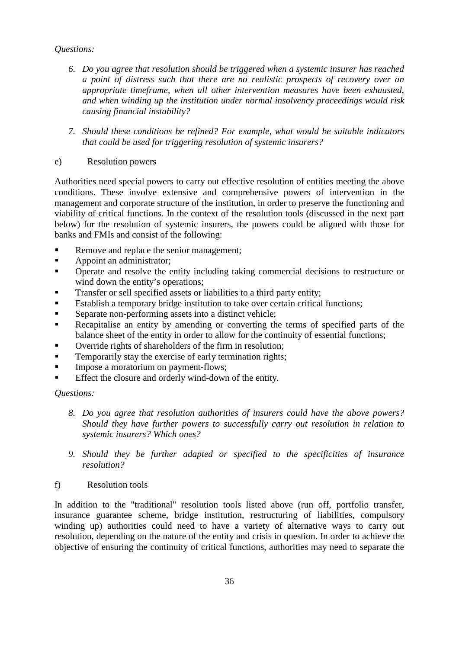# *Questions:*

- *6. Do you agree that resolution should be triggered when a systemic insurer has reached a point of distress such that there are no realistic prospects of recovery over an appropriate timeframe, when all other intervention measures have been exhausted, and when winding up the institution under normal insolvency proceedings would risk causing financial instability?*
- *7. Should these conditions be refined? For example, what would be suitable indicators that could be used for triggering resolution of systemic insurers?*
- e) Resolution powers

Authorities need special powers to carry out effective resolution of entities meeting the above conditions. These involve extensive and comprehensive powers of intervention in the management and corporate structure of the institution, in order to preserve the functioning and viability of critical functions. In the context of the resolution tools (discussed in the next part below) for the resolution of systemic insurers, the powers could be aligned with those for banks and FMIs and consist of the following:

- Remove and replace the senior management;
- **Appoint an administrator;**
- Operate and resolve the entity including taking commercial decisions to restructure or wind down the entity's operations;
- Transfer or sell specified assets or liabilities to a third party entity;
- Establish a temporary bridge institution to take over certain critical functions;
- Separate non-performing assets into a distinct vehicle;
- Recapitalise an entity by amending or converting the terms of specified parts of the balance sheet of the entity in order to allow for the continuity of essential functions;
- Override rights of shareholders of the firm in resolution;
- **Temporarily stay the exercise of early termination rights;**
- Impose a moratorium on payment-flows:
- Effect the closure and orderly wind-down of the entity.

## *Questions:*

- *8. Do you agree that resolution authorities of insurers could have the above powers? Should they have further powers to successfully carry out resolution in relation to systemic insurers? Which ones?*
- *9. Should they be further adapted or specified to the specificities of insurance resolution?*
- f) Resolution tools

In addition to the "traditional" resolution tools listed above (run off, portfolio transfer, insurance guarantee scheme, bridge institution, restructuring of liabilities, compulsory winding up) authorities could need to have a variety of alternative ways to carry out resolution, depending on the nature of the entity and crisis in question. In order to achieve the objective of ensuring the continuity of critical functions, authorities may need to separate the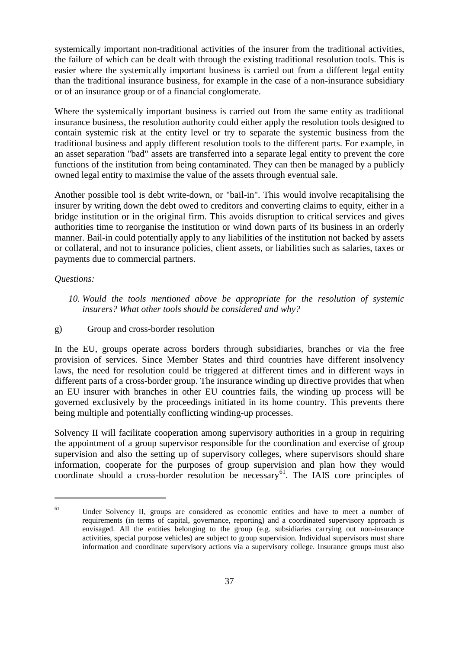systemically important non-traditional activities of the insurer from the traditional activities, the failure of which can be dealt with through the existing traditional resolution tools. This is easier where the systemically important business is carried out from a different legal entity than the traditional insurance business, for example in the case of a non-insurance subsidiary or of an insurance group or of a financial conglomerate.

Where the systemically important business is carried out from the same entity as traditional insurance business, the resolution authority could either apply the resolution tools designed to contain systemic risk at the entity level or try to separate the systemic business from the traditional business and apply different resolution tools to the different parts. For example, in an asset separation "bad" assets are transferred into a separate legal entity to prevent the core functions of the institution from being contaminated. They can then be managed by a publicly owned legal entity to maximise the value of the assets through eventual sale.

Another possible tool is debt write-down, or "bail-in". This would involve recapitalising the insurer by writing down the debt owed to creditors and converting claims to equity, either in a bridge institution or in the original firm. This avoids disruption to critical services and gives authorities time to reorganise the institution or wind down parts of its business in an orderly manner. Bail-in could potentially apply to any liabilities of the institution not backed by assets or collateral, and not to insurance policies, client assets, or liabilities such as salaries, taxes or payments due to commercial partners.

## *Questions:*

 $\overline{a}$ 

- *10. Would the tools mentioned above be appropriate for the resolution of systemic insurers? What other tools should be considered and why?*
- g) Group and cross-border resolution

In the EU, groups operate across borders through subsidiaries, branches or via the free provision of services. Since Member States and third countries have different insolvency laws, the need for resolution could be triggered at different times and in different ways in different parts of a cross-border group. The insurance winding up directive provides that when an EU insurer with branches in other EU countries fails, the winding up process will be governed exclusively by the proceedings initiated in its home country. This prevents there being multiple and potentially conflicting winding-up processes.

Solvency II will facilitate cooperation among supervisory authorities in a group in requiring the appointment of a group supervisor responsible for the coordination and exercise of group supervision and also the setting up of supervisory colleges, where supervisors should share information, cooperate for the purposes of group supervision and plan how they would coordinate should a cross-border resolution be necessary<sup>61</sup>. The IAIS core principles of

<span id="page-36-0"></span> $61$  Under Solvency II, groups are considered as economic entities and have to meet a number of requirements (in terms of capital, governance, reporting) and a coordinated supervisory approach is envisaged. All the entities belonging to the group (e.g. subsidiaries carrying out non-insurance activities, special purpose vehicles) are subject to group supervision. Individual supervisors must share information and coordinate supervisory actions via a supervisory college. Insurance groups must also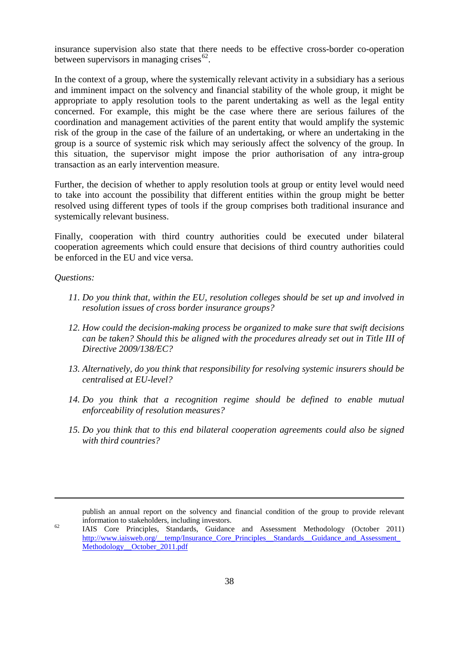insurance supervision also state that there needs to be effective cross-border co-operation between supervisors in managing crises  $62$ .

In the context of a group, where the systemically relevant activity in a subsidiary has a serious and imminent impact on the solvency and financial stability of the whole group, it might be appropriate to apply resolution tools to the parent undertaking as well as the legal entity concerned. For example, this might be the case where there are serious failures of the coordination and management activities of the parent entity that would amplify the systemic risk of the group in the case of the failure of an undertaking, or where an undertaking in the group is a source of systemic risk which may seriously affect the solvency of the group. In this situation, the supervisor might impose the prior authorisation of any intra-group transaction as an early intervention measure.

Further, the decision of whether to apply resolution tools at group or entity level would need to take into account the possibility that different entities within the group might be better resolved using different types of tools if the group comprises both traditional insurance and systemically relevant business.

Finally, cooperation with third country authorities could be executed under bilateral cooperation agreements which could ensure that decisions of third country authorities could be enforced in the EU and vice versa.

#### *Questions:*

<span id="page-37-0"></span>-

- *11. Do you think that, within the EU, resolution colleges should be set up and involved in resolution issues of cross border insurance groups?*
- *12. How could the decision-making process be organized to make sure that swift decisions can be taken? Should this be aligned with the procedures already set out in Title III of Directive 2009/138/EC?*
- *13. Alternatively, do you think that responsibility for resolving systemic insurers should be centralised at EU-level?*
- *14. Do you think that a recognition regime should be defined to enable mutual enforceability of resolution measures?*
- *15. Do you think that to this end bilateral cooperation agreements could also be signed with third countries?*

publish an annual report on the solvency and financial condition of the group to provide relevant information to stakeholders, including investors.<br>
IAIS Core Principles, Standards, Guidance and Assessment Methodology (October 2011)

http://www.iaisweb.org/\_temp/Insurance\_Core\_Principles\_\_Standards\_\_Guidance\_and\_Assessment Methodology October 2011.pdf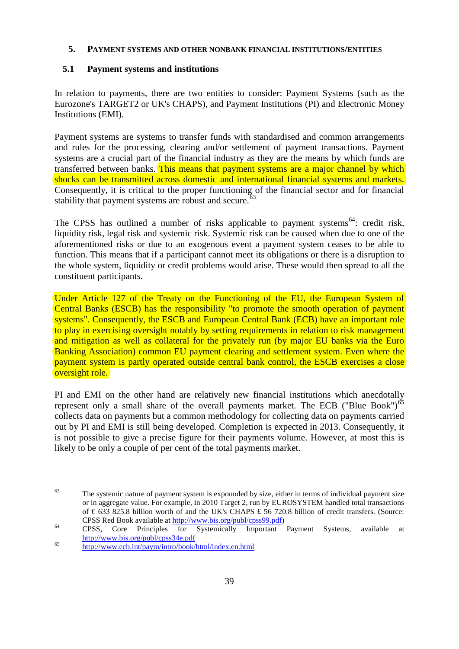## <span id="page-38-0"></span>**5. PAYMENT SYSTEMS AND OTHER NONBANK FINANCIAL INSTITUTIONS/ENTITIES**

# <span id="page-38-1"></span>**5.1 Payment systems and institutions**

In relation to payments, there are two entities to consider: Payment Systems (such as the Eurozone's TARGET2 or UK's CHAPS), and Payment Institutions (PI) and Electronic Money Institutions (EMI).

Payment systems are systems to transfer funds with standardised and common arrangements and rules for the processing, clearing and/or settlement of payment transactions. Payment systems are a crucial part of the financial industry as they are the means by which funds are transferred between banks. This means that payment systems are a major channel by which shocks can be transmitted across domestic and international financial systems and markets. Consequently, it is critical to the proper functioning of the financial sector and for financial stability that payment systems are robust and secure.<sup>[63](#page-37-0)</sup>

The CPSS has outlined a number of risks applicable to payment systems<sup>64</sup>: credit risk. liquidity risk, legal risk and systemic risk. Systemic risk can be caused when due to one of the aforementioned risks or due to an exogenous event a payment system ceases to be able to function. This means that if a participant cannot meet its obligations or there is a disruption to the whole system, liquidity or credit problems would arise. These would then spread to all the constituent participants.

Under Article 127 of the Treaty on the Functioning of the EU, the European System of Central Banks (ESCB) has the responsibility "to promote the smooth operation of payment systems". Consequently, the ESCB and European Central Bank (ECB) have an important role to play in exercising oversight notably by setting requirements in relation to risk management and mitigation as well as collateral for the privately run (by major EU banks via the Euro Banking Association) common EU payment clearing and settlement system. Even where the payment system is partly operated outside central bank control, the ESCB exercises a close oversight role.

PI and EMI on the other hand are relatively new financial institutions which anecdotally represent only a small share of the overall payments market. The ECB ("Blue Book")<sup>[65](#page-38-3)</sup> collects data on payments but a common methodology for collecting data on payments carried out by PI and EMI is still being developed. Completion is expected in 2013. Consequently, it is not possible to give a precise figure for their payments volume. However, at most this is likely to be only a couple of per cent of the total payments market.

 $63$  The systemic nature of payment system is expounded by size, either in terms of individual payment size or in aggregate value. For example, in 2010 Target 2, run by EUROSYSTEM handled total transactions of € 633 825.8 billion worth of and the UK's CHAPS £ 56 720.8 billion of credit transfers. (Source:

<span id="page-38-4"></span><span id="page-38-2"></span>CPSS Red Book available at <u>http://www.bis.org/publ/cpss99.pdf</u>)<br>
CPSS, Core Principles for Systemically Important Payment Systems, available at<br>
http://www.bis.org/publ/cpss34e.pdf

<span id="page-38-3"></span> $h_{\text{http://www.ecb.int/paym/intro/book.html/index.en.html}$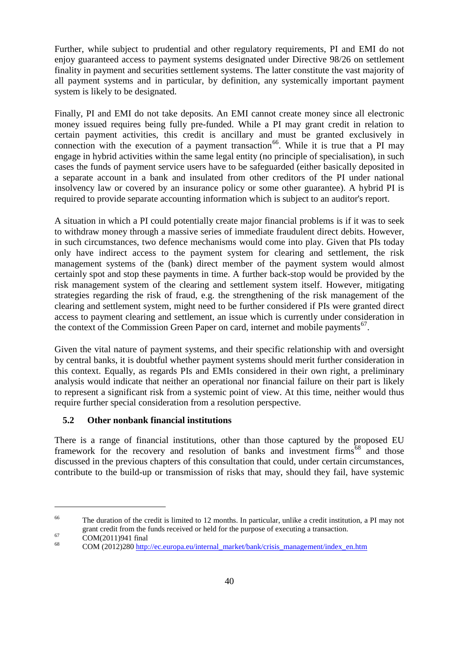Further, while subject to prudential and other regulatory requirements, PI and EMI do not enjoy guaranteed access to payment systems designated under Directive 98/26 on settlement finality in payment and securities settlement systems. The latter constitute the vast majority of all payment systems and in particular, by definition, any systemically important payment system is likely to be designated.

Finally, PI and EMI do not take deposits. An EMI cannot create money since all electronic money issued requires being fully pre-funded. While a PI may grant credit in relation to certain payment activities, this credit is ancillary and must be granted exclusively in connection with the execution of a payment transaction<sup>66</sup>. While it is true that a PI may engage in hybrid activities within the same legal entity (no principle of specialisation), in such cases the funds of payment service users have to be safeguarded (either basically deposited in a separate account in a bank and insulated from other creditors of the PI under national insolvency law or covered by an insurance policy or some other guarantee). A hybrid PI is required to provide separate accounting information which is subject to an auditor's report.

A situation in which a PI could potentially create major financial problems is if it was to seek to withdraw money through a massive series of immediate fraudulent direct debits. However, in such circumstances, two defence mechanisms would come into play. Given that PIs today only have indirect access to the payment system for clearing and settlement, the risk management systems of the (bank) direct member of the payment system would almost certainly spot and stop these payments in time. A further back-stop would be provided by the risk management system of the clearing and settlement system itself. However, mitigating strategies regarding the risk of fraud, e.g. the strengthening of the risk management of the clearing and settlement system, might need to be further considered if PIs were granted direct access to payment clearing and settlement, an issue which is currently under consideration in the context of the Commission Green Paper on card, internet and mobile payments<sup>[67](#page-39-1)</sup>.

Given the vital nature of payment systems, and their specific relationship with and oversight by central banks, it is doubtful whether payment systems should merit further consideration in this context. Equally, as regards PIs and EMIs considered in their own right, a preliminary analysis would indicate that neither an operational nor financial failure on their part is likely to represent a significant risk from a systemic point of view. At this time, neither would thus require further special consideration from a resolution perspective.

# <span id="page-39-0"></span>**5.2 Other nonbank financial institutions**

There is a range of financial institutions, other than those captured by the proposed EU framework for the recovery and resolution of banks and investment firms<sup> $68$ </sup> and those discussed in the previous chapters of this consultation that could, under certain circumstances, contribute to the build-up or transmission of risks that may, should they fail, have systemic

<span id="page-39-3"></span><sup>&</sup>lt;sup>66</sup> The duration of the credit is limited to 12 months. In particular, unlike a credit institution, a PI may not grant credit from the funds received or held for the purpose of executing a transaction.

<span id="page-39-2"></span>

<span id="page-39-1"></span>gram credit from the funds received or held for the purpose of executing a transaction.<br>  $\frac{68}{1000}$  COM(2011)941 final comes eu/internal\_market/bank/crisis\_management/index\_en.htm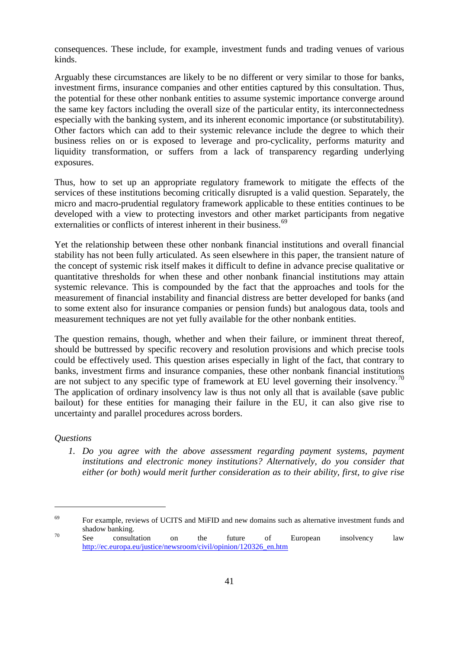consequences. These include, for example, investment funds and trading venues of various kinds.

Arguably these circumstances are likely to be no different or very similar to those for banks, investment firms, insurance companies and other entities captured by this consultation. Thus, the potential for these other nonbank entities to assume systemic importance converge around the same key factors including the overall size of the particular entity, its interconnectedness especially with the banking system, and its inherent economic importance (or substitutability). Other factors which can add to their systemic relevance include the degree to which their business relies on or is exposed to leverage and pro-cyclicality, performs maturity and liquidity transformation, or suffers from a lack of transparency regarding underlying exposures.

Thus, how to set up an appropriate regulatory framework to mitigate the effects of the services of these institutions becoming critically disrupted is a valid question. Separately, the micro and macro-prudential regulatory framework applicable to these entities continues to be developed with a view to protecting investors and other market participants from negative externalities or conflicts of interest inherent in their business.<sup>[69](#page-39-3)</sup>

Yet the relationship between these other nonbank financial institutions and overall financial stability has not been fully articulated. As seen elsewhere in this paper, the transient nature of the concept of systemic risk itself makes it difficult to define in advance precise qualitative or quantitative thresholds for when these and other nonbank financial institutions may attain systemic relevance. This is compounded by the fact that the approaches and tools for the measurement of financial instability and financial distress are better developed for banks (and to some extent also for insurance companies or pension funds) but analogous data, tools and measurement techniques are not yet fully available for the other nonbank entities.

The question remains, though, whether and when their failure, or imminent threat thereof, should be buttressed by specific recovery and resolution provisions and which precise tools could be effectively used. This question arises especially in light of the fact, that contrary to banks, investment firms and insurance companies, these other nonbank financial institutions are not subject to any specific type of framework at EU level governing their insolvency.<sup>[70](#page-40-0)</sup> The application of ordinary insolvency law is thus not only all that is available (save public bailout) for these entities for managing their failure in the EU, it can also give rise to uncertainty and parallel procedures across borders.

## *Questions*

 $\overline{a}$ 

*1. Do you agree with the above assessment regarding payment systems, payment institutions and electronic money institutions? Alternatively, do you consider that either (or both) would merit further consideration as to their ability, first, to give rise* 

<span id="page-40-0"></span> $69$  For example, reviews of UCITS and MiFID and new domains such as alternative investment funds and shadow banking.<br><sup>70</sup> See consultation on the future of European insolvency law

[http://ec.europa.eu/justice/newsroom/civil/opinion/120326\\_en.htm](http://ec.europa.eu/justice/newsroom/civil/opinion/120326_en.htm)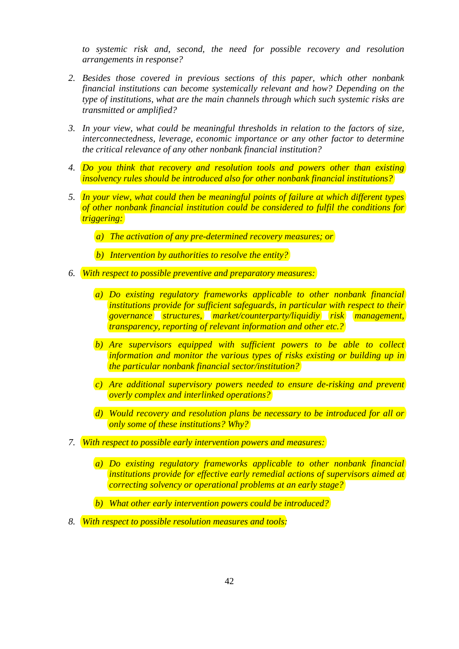*to systemic risk and, second, the need for possible recovery and resolution arrangements in response?* 

- *2. Besides those covered in previous sections of this paper, which other nonbank financial institutions can become systemically relevant and how? Depending on the type of institutions, what are the main channels through which such systemic risks are transmitted or amplified?*
- *3. In your view, what could be meaningful thresholds in relation to the factors of size, interconnectedness, leverage, economic importance or any other factor to determine the critical relevance of any other nonbank financial institution?*
- *4. Do you think that recovery and resolution tools and powers other than existing insolvency rules should be introduced also for other nonbank financial institutions?*
- *5. In your view, what could then be meaningful points of failure at which different types of other nonbank financial institution could be considered to fulfil the conditions for triggering:* 
	- *a) The activation of any pre-determined recovery measures; or*
	- *b) Intervention by authorities to resolve the entity?*
- *6. With respect to possible preventive and preparatory measures:*
	- *a) Do existing regulatory frameworks applicable to other nonbank financial institutions provide for sufficient safeguards, in particular with respect to their governance structures, market/counterparty/liquidiy risk management, transparency, reporting of relevant information and other etc.?*
	- *b) Are supervisors equipped with sufficient powers to be able to collect information and monitor the various types of risks existing or building up in the particular nonbank financial sector/institution?*
	- *c) Are additional supervisory powers needed to ensure de-risking and prevent overly complex and interlinked operations?*
	- *d) Would recovery and resolution plans be necessary to be introduced for all or only some of these institutions? Why?*
- *7. With respect to possible early intervention powers and measures:*
	- *a) Do existing regulatory frameworks applicable to other nonbank financial institutions provide for effective early remedial actions of supervisors aimed at correcting solvency or operational problems at an early stage?*
	- *b) What other early intervention powers could be introduced?*
- *8. With respect to possible resolution measures and tools:*